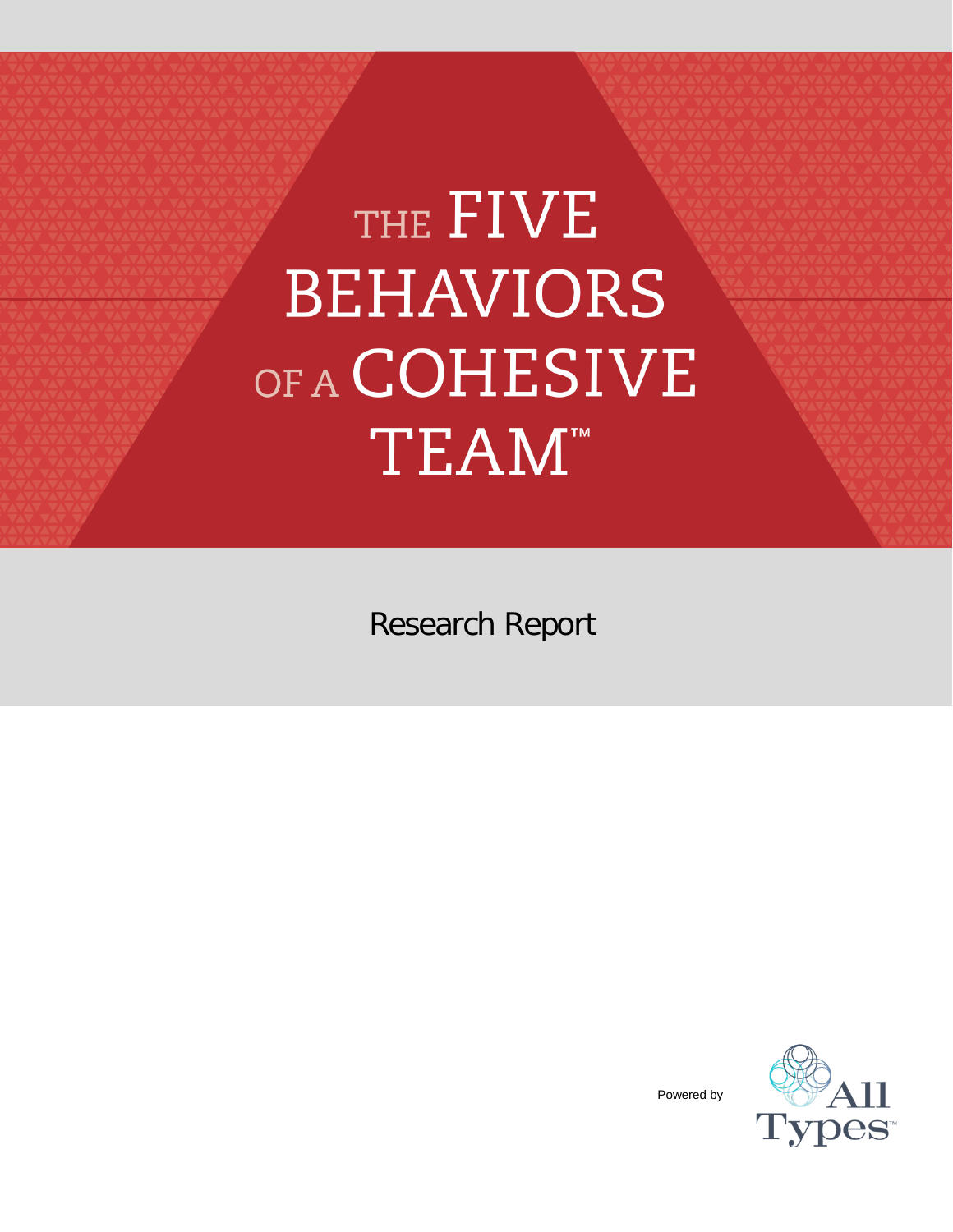# THE FIVE **BEHAVIORS** OF A COHESIVE TEAM<sup>™</sup>

Research Report



Powered by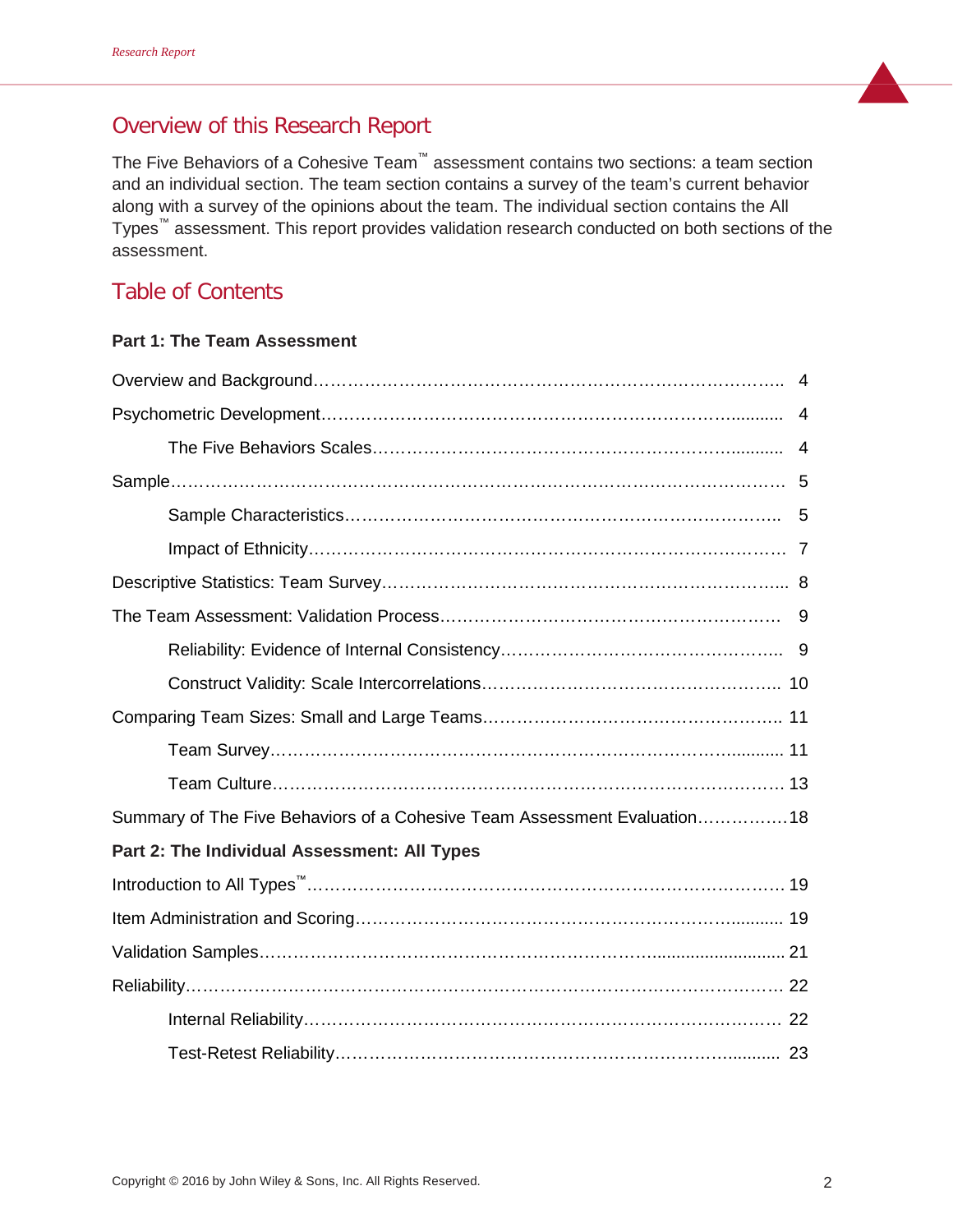# Overview of this Research Report

The Five Behaviors of a Cohesive Team™ assessment contains two sections: a team section and an individual section. The team section contains a survey of the team's current behavior along with a survey of the opinions about the team. The individual section contains the All Types™ assessment. This report provides validation research conducted on both sections of the assessment.

# Table of Contents

## **Part 1: The Team Assessment**

| Summary of The Five Behaviors of a Cohesive Team Assessment Evaluation18 |
|--------------------------------------------------------------------------|
| Part 2: The Individual Assessment: All Types                             |
|                                                                          |
|                                                                          |
|                                                                          |
|                                                                          |
|                                                                          |
|                                                                          |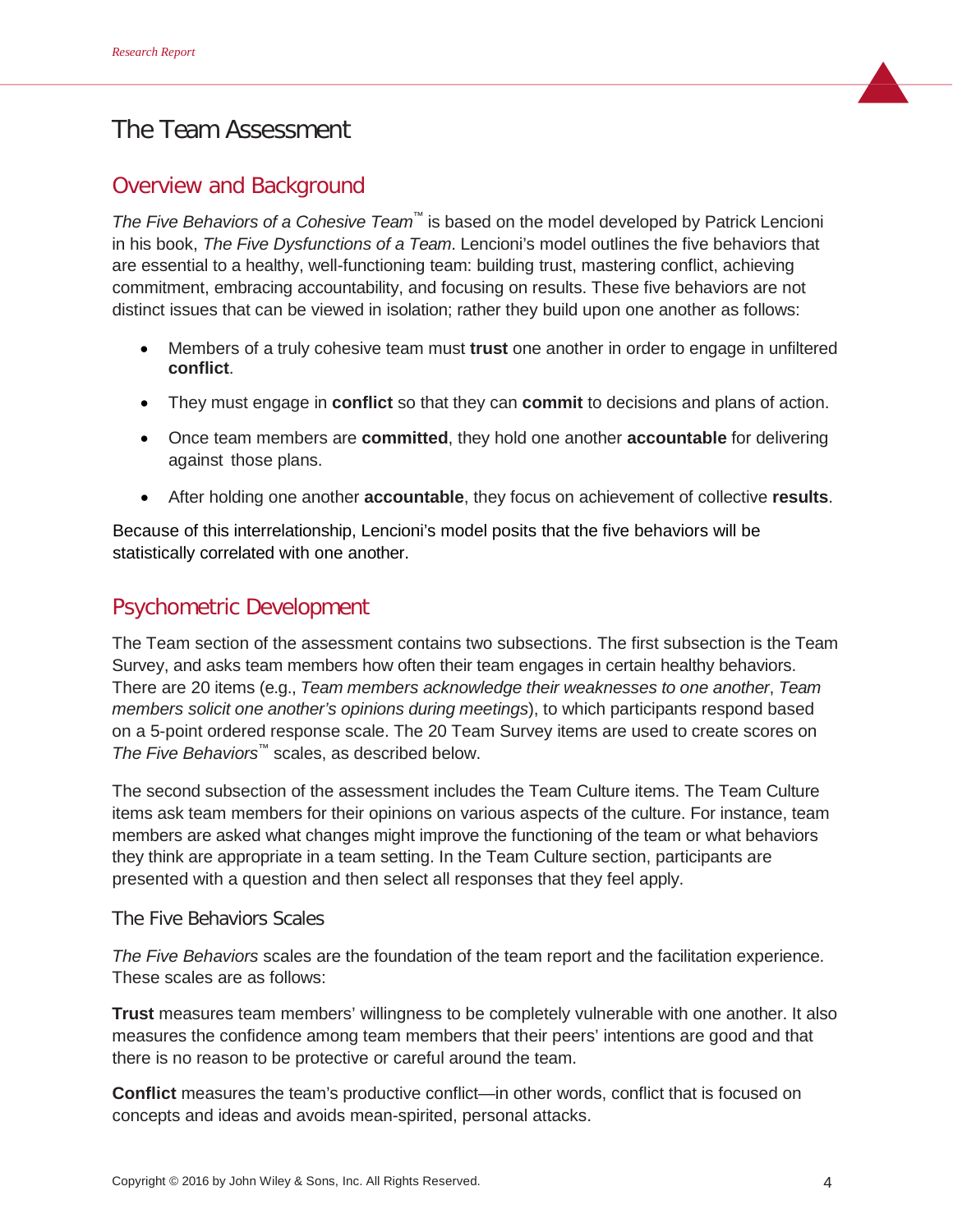# The Team Assessment

# Overview and Background

*The Five Behaviors of a Cohesive Team™* is based on the model developed by Patrick Lencioni in his book, *The Five Dysfunctions of a Team*. Lencioni's model outlines the five behaviors that are essential to a healthy, well-functioning team: building trust, mastering conflict, achieving commitment, embracing accountability, and focusing on results. These five behaviors are not distinct issues that can be viewed in isolation; rather they build upon one another as follows:

- Members of a truly cohesive team must **trust** one another in order to engage in unfiltered **conflict**.
- They must engage in **conflict** so that they can **commit** to decisions and plans of action.
- Once team members are **committed**, they hold one another **accountable** for delivering against those plans.
- After holding one another **accountable**, they focus on achievement of collective **results**.

Because of this interrelationship, Lencioni's model posits that the five behaviors will be statistically correlated with one another.

# Psychometric Development

The Team section of the assessment contains two subsections. The first subsection is the Team Survey, and asks team members how often their team engages in certain healthy behaviors. There are 20 items (e.g., *Team members acknowledge their weaknesses to one another*, *Team members solicit one another's opinions during meetings*), to which participants respond based on a 5-point ordered response scale. The 20 Team Survey items are used to create scores on *The Five Behaviors*™ scales, as described below.

The second subsection of the assessment includes the Team Culture items. The Team Culture items ask team members for their opinions on various aspects of the culture. For instance, team members are asked what changes might improve the functioning of the team or what behaviors they think are appropriate in a team setting. In the Team Culture section, participants are presented with a question and then select all responses that they feel apply.

## The Five Behaviors Scales

*The Five Behaviors* scales are the foundation of the team report and the facilitation experience. These scales are as follows:

**Trust** measures team members' willingness to be completely vulnerable with one another. It also measures the confidence among team members that their peers' intentions are good and that there is no reason to be protective or careful around the team.

**Conflict** measures the team's productive conflict—in other words, conflict that is focused on concepts and ideas and avoids mean-spirited, personal attacks.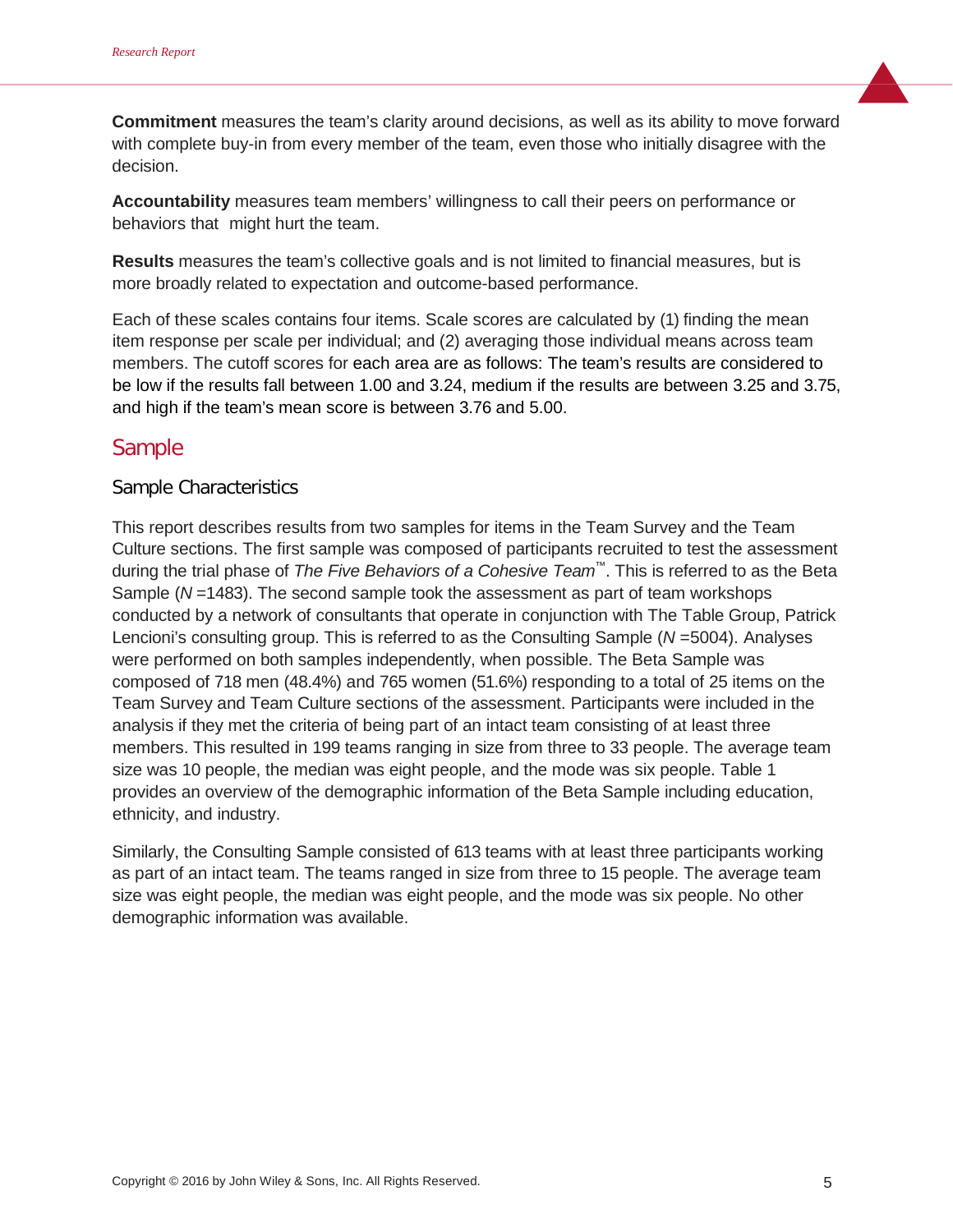**Commitment** measures the team's clarity around decisions, as well as its ability to move forward with complete buy-in from every member of the team, even those who initially disagree with the decision.

**Accountability** measures team members' willingness to call their peers on performance or behaviors that might hurt the team.

**Results** measures the team's collective goals and is not limited to financial measures, but is more broadly related to expectation and outcome-based performance.

Each of these scales contains four items. Scale scores are calculated by (1) finding the mean item response per scale per individual; and (2) averaging those individual means across team members. The cutoff scores for each area are as follows: The team's results are considered to be low if the results fall between 1.00 and 3.24, medium if the results are between 3.25 and 3.75, and high if the team's mean score is between 3.76 and 5.00.

# Sample

## Sample Characteristics

This report describes results from two samples for items in the Team Survey and the Team Culture sections. The first sample was composed of participants recruited to test the assessment during the trial phase of *The Five Behaviors of a Cohesive Team™*. This is referred to as the Beta Sample (*N* =1483). The second sample took the assessment as part of team workshops conducted by a network of consultants that operate in conjunction with The Table Group, Patrick Lencioni's consulting group. This is referred to as the Consulting Sample (*N* =5004). Analyses were performed on both samples independently, when possible. The Beta Sample was composed of 718 men (48.4%) and 765 women (51.6%) responding to a total of 25 items on the Team Survey and Team Culture sections of the assessment. Participants were included in the analysis if they met the criteria of being part of an intact team consisting of at least three members. This resulted in 199 teams ranging in size from three to 33 people. The average team size was 10 people, the median was eight people, and the mode was six people. Table 1 provides an overview of the demographic information of the Beta Sample including education, ethnicity, and industry.

Similarly, the Consulting Sample consisted of 613 teams with at least three participants working as part of an intact team. The teams ranged in size from three to 15 people. The average team size was eight people, the median was eight people, and the mode was six people. No other demographic information was available.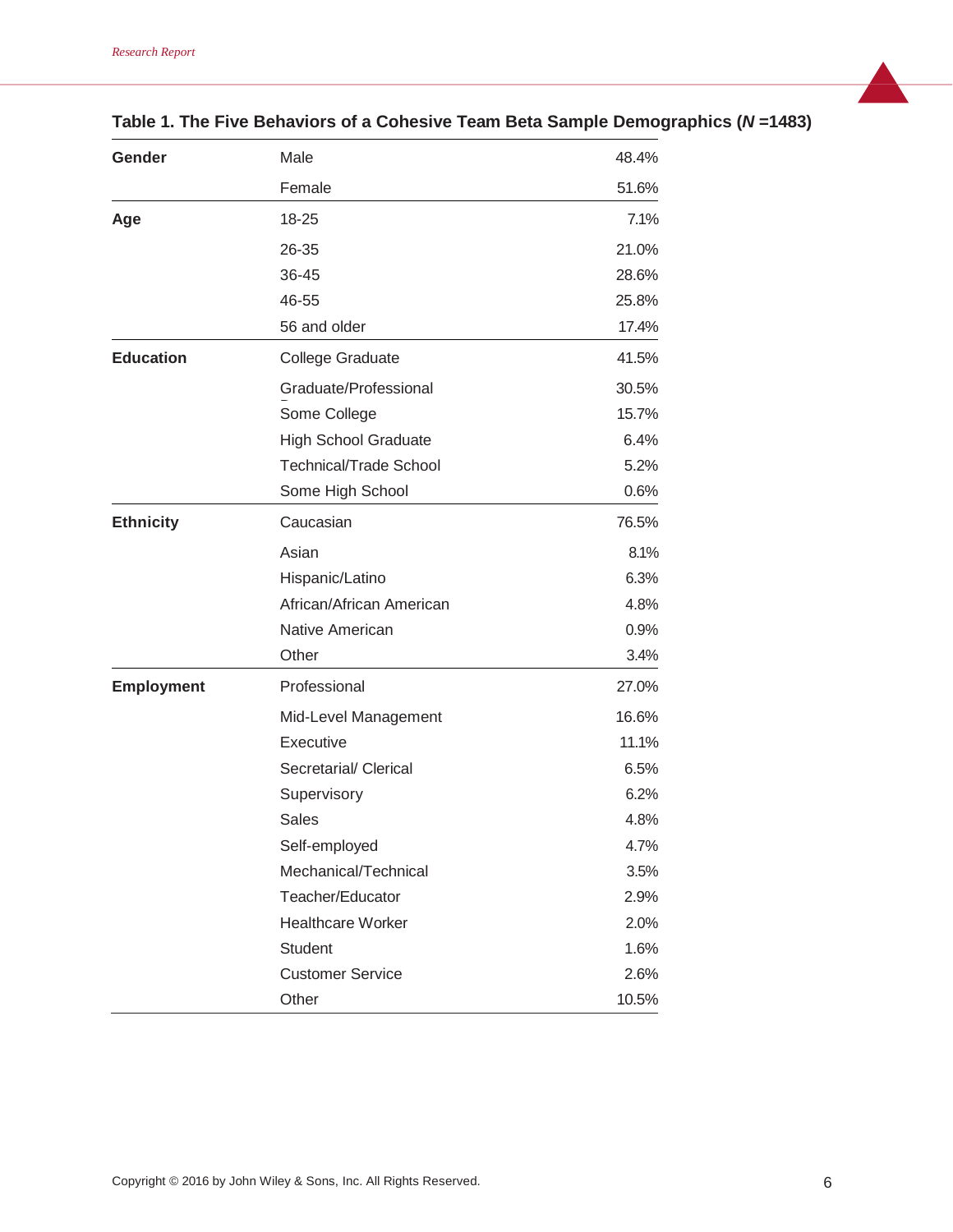| Gender            | Male                          | 48.4% |
|-------------------|-------------------------------|-------|
|                   | Female                        | 51.6% |
| Age               | 18-25                         | 7.1%  |
|                   | 26-35                         | 21.0% |
|                   | 36-45                         | 28.6% |
|                   | 46-55                         | 25.8% |
|                   | 56 and older                  | 17.4% |
| <b>Education</b>  | <b>College Graduate</b>       | 41.5% |
|                   | Graduate/Professional         | 30.5% |
|                   | Some College                  | 15.7% |
|                   | <b>High School Graduate</b>   | 6.4%  |
|                   | <b>Technical/Trade School</b> | 5.2%  |
|                   | Some High School              | 0.6%  |
| <b>Ethnicity</b>  | Caucasian                     | 76.5% |
|                   | Asian                         | 8.1%  |
|                   | Hispanic/Latino               | 6.3%  |
|                   | African/African American      | 4.8%  |
|                   | Native American               | 0.9%  |
|                   | Other                         | 3.4%  |
| <b>Employment</b> | Professional                  | 27.0% |
|                   | Mid-Level Management          | 16.6% |
|                   | Executive                     | 11.1% |
|                   | Secretarial/ Clerical         | 6.5%  |
|                   | Supervisory                   | 6.2%  |
|                   | <b>Sales</b>                  | 4.8%  |
|                   | Self-employed                 | 4.7%  |
|                   | Mechanical/Technical          | 3.5%  |
|                   | Teacher/Educator              | 2.9%  |
|                   | <b>Healthcare Worker</b>      | 2.0%  |
|                   | <b>Student</b>                | 1.6%  |
|                   | <b>Customer Service</b>       | 2.6%  |
|                   | Other                         | 10.5% |

# **Table 1. The Five Behaviors of a Cohesive Team Beta Sample Demographics (***N* **=1483)**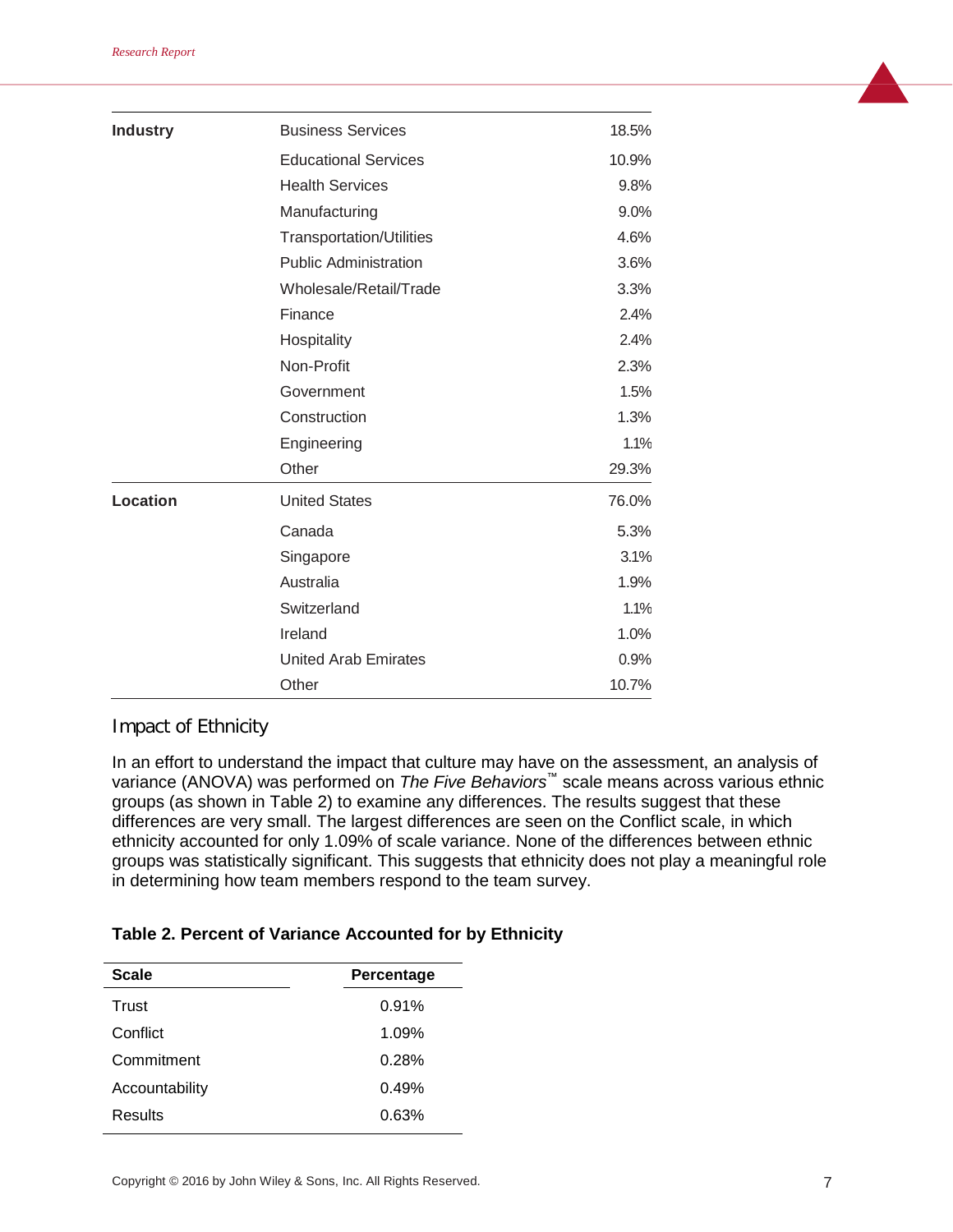| <b>Industry</b> | <b>Business Services</b>        | 18.5% |
|-----------------|---------------------------------|-------|
|                 | <b>Educational Services</b>     | 10.9% |
|                 | <b>Health Services</b>          | 9.8%  |
|                 | Manufacturing                   | 9.0%  |
|                 | <b>Transportation/Utilities</b> | 4.6%  |
|                 | <b>Public Administration</b>    | 3.6%  |
|                 | Wholesale/Retail/Trade          | 3.3%  |
|                 | Finance                         | 2.4%  |
|                 | Hospitality                     | 2.4%  |
|                 | Non-Profit                      | 2.3%  |
|                 | Government                      | 1.5%  |
|                 | Construction                    | 1.3%  |
|                 | Engineering                     | 1.1%  |
|                 | Other                           | 29.3% |
| <b>Location</b> | <b>United States</b>            | 76.0% |
|                 | Canada                          | 5.3%  |
|                 | Singapore                       | 3.1%  |
|                 | Australia                       | 1.9%  |
|                 | Switzerland                     | 1.1%  |
|                 | Ireland                         | 1.0%  |
|                 | <b>United Arab Emirates</b>     | 0.9%  |
|                 | Other                           | 10.7% |

#### Impact of Ethnicity

In an effort to understand the impact that culture may have on the assessment, an analysis of variance (ANOVA) was performed on *The Five Behaviors™* scale means across various ethnic groups (as shown in Table 2) to examine any differences. The results suggest that these differences are very small. The largest differences are seen on the Conflict scale, in which ethnicity accounted for only 1.09% of scale variance. None of the differences between ethnic groups was statistically significant. This suggests that ethnicity does not play a meaningful role in determining how team members respond to the team survey.

#### **Table 2. Percent of Variance Accounted for by Ethnicity**

| <b>Scale</b>   | Percentage |
|----------------|------------|
| Trust          | 0.91%      |
| Conflict       | 1.09%      |
| Commitment     | 0.28%      |
| Accountability | 0.49%      |
| Results        | 0.63%      |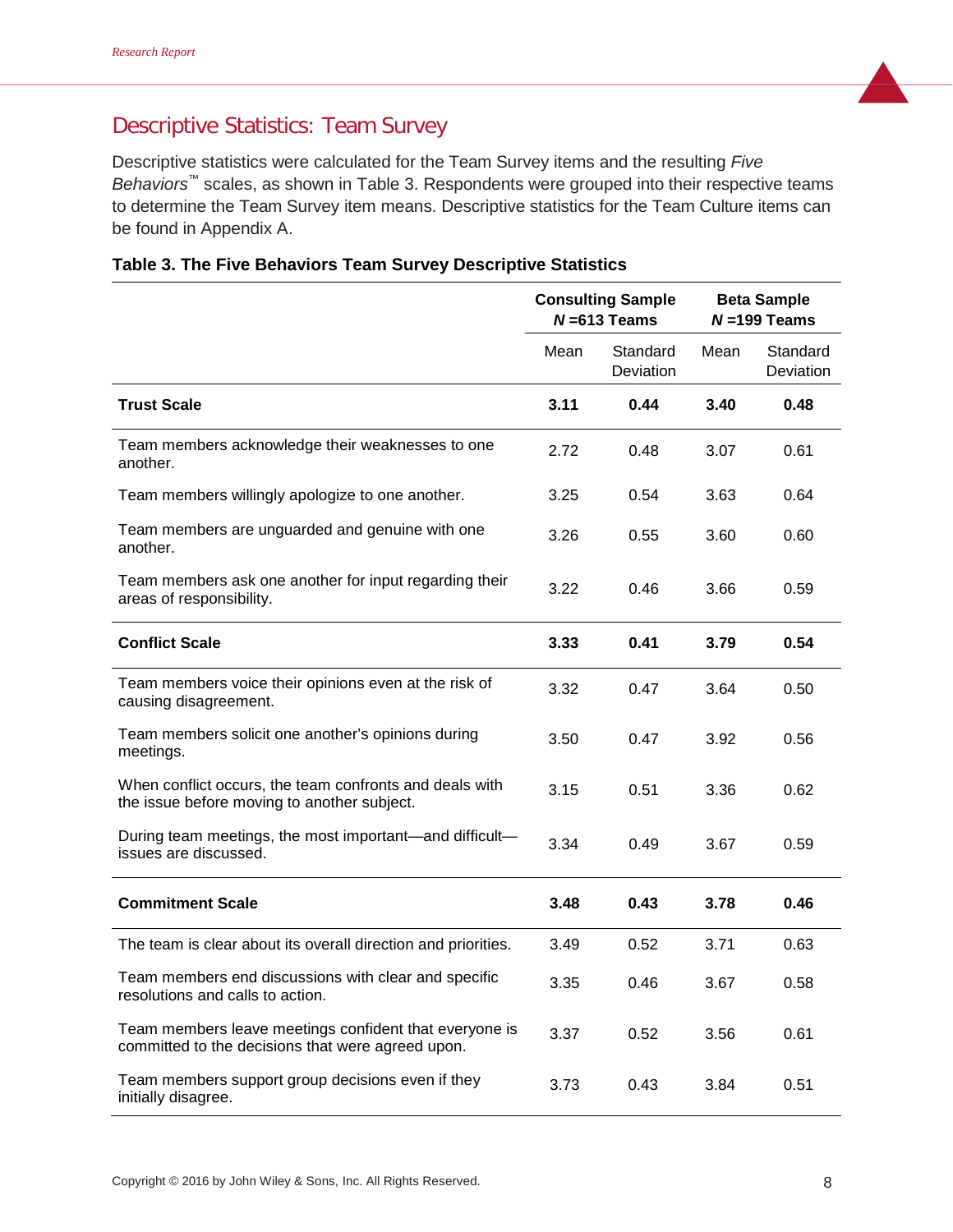# Descriptive Statistics: Team Survey

Descriptive statistics were calculated for the Team Survey items and the resulting *Five Behaviors*™ scales, as shown in Table 3. Respondents were grouped into their respective teams to determine the Team Survey item means. Descriptive statistics for the Team Culture items can be found in Appendix A.

|                                                                                                             | <b>Consulting Sample</b><br>$N = 613$ Teams |                       |      | <b>Beta Sample</b><br>$N = 199$ Teams |
|-------------------------------------------------------------------------------------------------------------|---------------------------------------------|-----------------------|------|---------------------------------------|
|                                                                                                             | Mean                                        | Standard<br>Deviation | Mean | Standard<br>Deviation                 |
| <b>Trust Scale</b>                                                                                          | 3.11                                        | 0.44                  | 3.40 | 0.48                                  |
| Team members acknowledge their weaknesses to one<br>another.                                                | 2.72                                        | 0.48                  | 3.07 | 0.61                                  |
| Team members willingly apologize to one another.                                                            | 3.25                                        | 0.54                  | 3.63 | 0.64                                  |
| Team members are unguarded and genuine with one<br>another.                                                 | 3.26                                        | 0.55                  | 3.60 | 0.60                                  |
| Team members ask one another for input regarding their<br>areas of responsibility.                          | 3.22                                        | 0.46                  | 3.66 | 0.59                                  |
| <b>Conflict Scale</b>                                                                                       | 3.33                                        | 0.41                  | 3.79 | 0.54                                  |
| Team members voice their opinions even at the risk of<br>causing disagreement.                              | 3.32                                        | 0.47                  | 3.64 | 0.50                                  |
| Team members solicit one another's opinions during<br>meetings.                                             | 3.50                                        | 0.47                  | 3.92 | 0.56                                  |
| When conflict occurs, the team confronts and deals with<br>the issue before moving to another subject.      | 3.15                                        | 0.51                  | 3.36 | 0.62                                  |
| During team meetings, the most important—and difficult—<br>issues are discussed.                            | 3.34                                        | 0.49                  | 3.67 | 0.59                                  |
| <b>Commitment Scale</b>                                                                                     | 3.48                                        | 0.43                  | 3.78 | 0.46                                  |
| The team is clear about its overall direction and priorities.                                               | 3.49                                        | 0.52                  | 3.71 | 0.63                                  |
| Team members end discussions with clear and specific<br>resolutions and calls to action.                    | 3.35                                        | 0.46                  | 3.67 | 0.58                                  |
| Team members leave meetings confident that everyone is<br>committed to the decisions that were agreed upon. | 3.37                                        | 0.52                  | 3.56 | 0.61                                  |
| Team members support group decisions even if they<br>initially disagree.                                    | 3.73                                        | 0.43                  | 3.84 | 0.51                                  |

|  |  |  | Table 3. The Five Behaviors Team Survey Descriptive Statistics |  |  |
|--|--|--|----------------------------------------------------------------|--|--|
|--|--|--|----------------------------------------------------------------|--|--|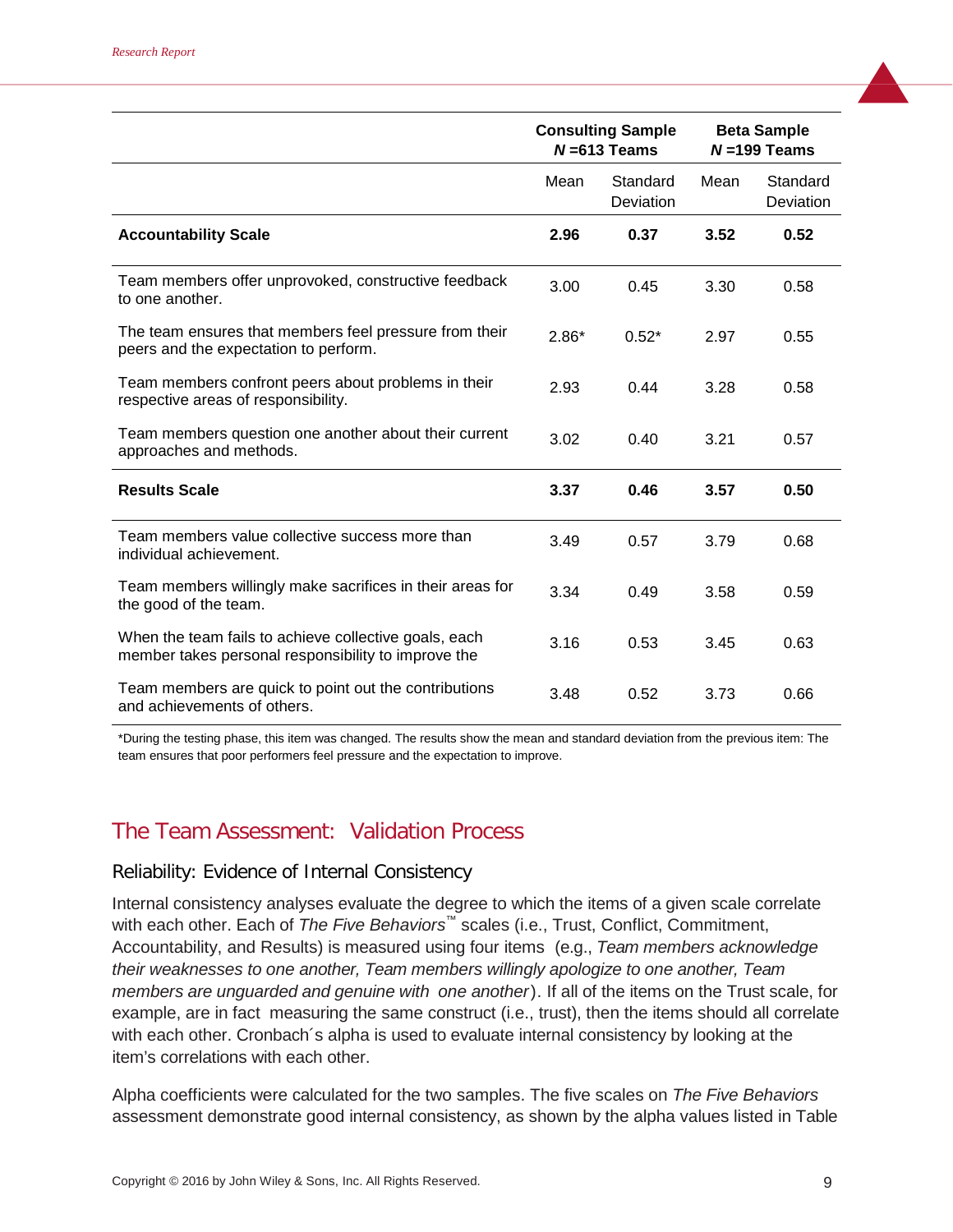|                                                                                                              | <b>Consulting Sample</b><br>$N = 613$ Teams |                       |      | <b>Beta Sample</b><br>$N = 199$ Teams |
|--------------------------------------------------------------------------------------------------------------|---------------------------------------------|-----------------------|------|---------------------------------------|
|                                                                                                              | Mean                                        | Standard<br>Deviation | Mean | Standard<br>Deviation                 |
| <b>Accountability Scale</b>                                                                                  | 2.96                                        | 0.37                  | 3.52 | 0.52                                  |
| Team members offer unprovoked, constructive feedback<br>to one another.                                      | 3.00                                        | 0.45                  | 3.30 | 0.58                                  |
| The team ensures that members feel pressure from their<br>peers and the expectation to perform.              | $2.86*$                                     | $0.52*$               | 2.97 | 0.55                                  |
| Team members confront peers about problems in their<br>respective areas of responsibility.                   | 2.93                                        | 0.44                  | 3.28 | 0.58                                  |
| Team members question one another about their current<br>approaches and methods.                             | 3.02                                        | 0.40                  | 3.21 | 0.57                                  |
| <b>Results Scale</b>                                                                                         | 3.37                                        | 0.46                  | 3.57 | 0.50                                  |
| Team members value collective success more than<br>individual achievement.                                   | 3.49                                        | 0.57                  | 3.79 | 0.68                                  |
| Team members willingly make sacrifices in their areas for<br>the good of the team.                           | 3.34                                        | 0.49                  | 3.58 | 0.59                                  |
| When the team fails to achieve collective goals, each<br>member takes personal responsibility to improve the | 3.16                                        | 0.53                  | 3.45 | 0.63                                  |
| Team members are quick to point out the contributions<br>and achievements of others.                         | 3.48                                        | 0.52                  | 3.73 | 0.66                                  |

\*During the testing phase, this item was changed. The results show the mean and standard deviation from the previous item: The team ensures that poor performers feel pressure and the expectation to improve.

# The Team Assessment: Validation Process

## Reliability: Evidence of Internal Consistency

Internal consistency analyses evaluate the degree to which the items of a given scale correlate with each other. Each of *The Five Behaviors™* scales (i.e., Trust, Conflict, Commitment, Accountability, and Results) is measured using four items (e.g., *Team members acknowledge their weaknesses to one another, Team members willingly apologize to one another, Team members are unguarded and genuine with one another*). If all of the items on the Trust scale, for example, are in fact measuring the same construct (i.e., trust), then the items should all correlate with each other. Cronbach´s alpha is used to evaluate internal consistency by looking at the item's correlations with each other.

Alpha coefficients were calculated for the two samples. The five scales on *The Five Behaviors* assessment demonstrate good internal consistency, as shown by the alpha values listed in Table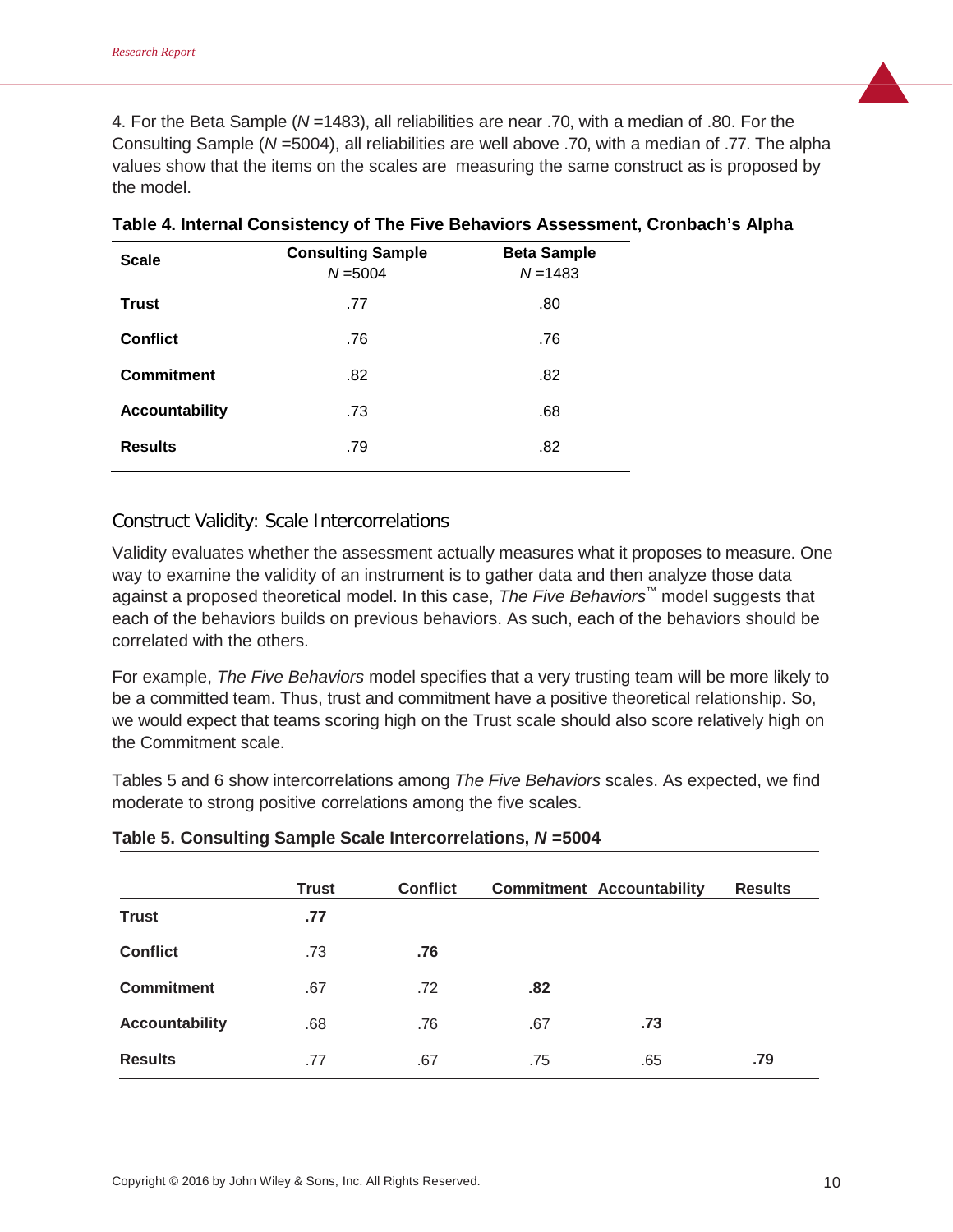4. For the Beta Sample (*N* =1483), all reliabilities are near .70, with a median of .80. For the Consulting Sample (*N* =5004), all reliabilities are well above .70, with a median of .77. The alpha values show that the items on the scales are measuring the same construct as is proposed by the model.

| <b>Scale</b>          | <b>Consulting Sample</b><br>$N = 5004$ | <b>Beta Sample</b><br>$N = 1483$ |
|-----------------------|----------------------------------------|----------------------------------|
| <b>Trust</b>          | .77                                    | .80                              |
| <b>Conflict</b>       | .76                                    | .76                              |
| <b>Commitment</b>     | .82                                    | .82                              |
| <b>Accountability</b> | .73                                    | .68                              |
| <b>Results</b>        | .79                                    | .82                              |

|  | Table 4. Internal Consistency of The Five Behaviors Assessment, Cronbach's Alpha |  |  |
|--|----------------------------------------------------------------------------------|--|--|
|--|----------------------------------------------------------------------------------|--|--|

## Construct Validity: Scale Intercorrelations

Validity evaluates whether the assessment actually measures what it proposes to measure. One way to examine the validity of an instrument is to gather data and then analyze those data against a proposed theoretical model. In this case, *The Five Behaviors™* model suggests that each of the behaviors builds on previous behaviors. As such, each of the behaviors should be correlated with the others.

For example, *The Five Behaviors* model specifies that a very trusting team will be more likely to be a committed team. Thus, trust and commitment have a positive theoretical relationship. So, we would expect that teams scoring high on the Trust scale should also score relatively high on the Commitment scale.

Tables 5 and 6 show intercorrelations among *The Five Behaviors* scales. As expected, we find moderate to strong positive correlations among the five scales.

|                       | <b>Trust</b> | <b>Conflict</b> |     | <b>Commitment Accountability</b> | <b>Results</b> |
|-----------------------|--------------|-----------------|-----|----------------------------------|----------------|
| <b>Trust</b>          | .77          |                 |     |                                  |                |
| <b>Conflict</b>       | .73          | .76             |     |                                  |                |
| <b>Commitment</b>     | .67          | .72             | .82 |                                  |                |
| <b>Accountability</b> | .68          | .76             | .67 | .73                              |                |
| <b>Results</b>        | .77          | .67             | .75 | .65                              | .79            |

#### **Table 5. Consulting Sample Scale Intercorrelations,** *N* **=5004**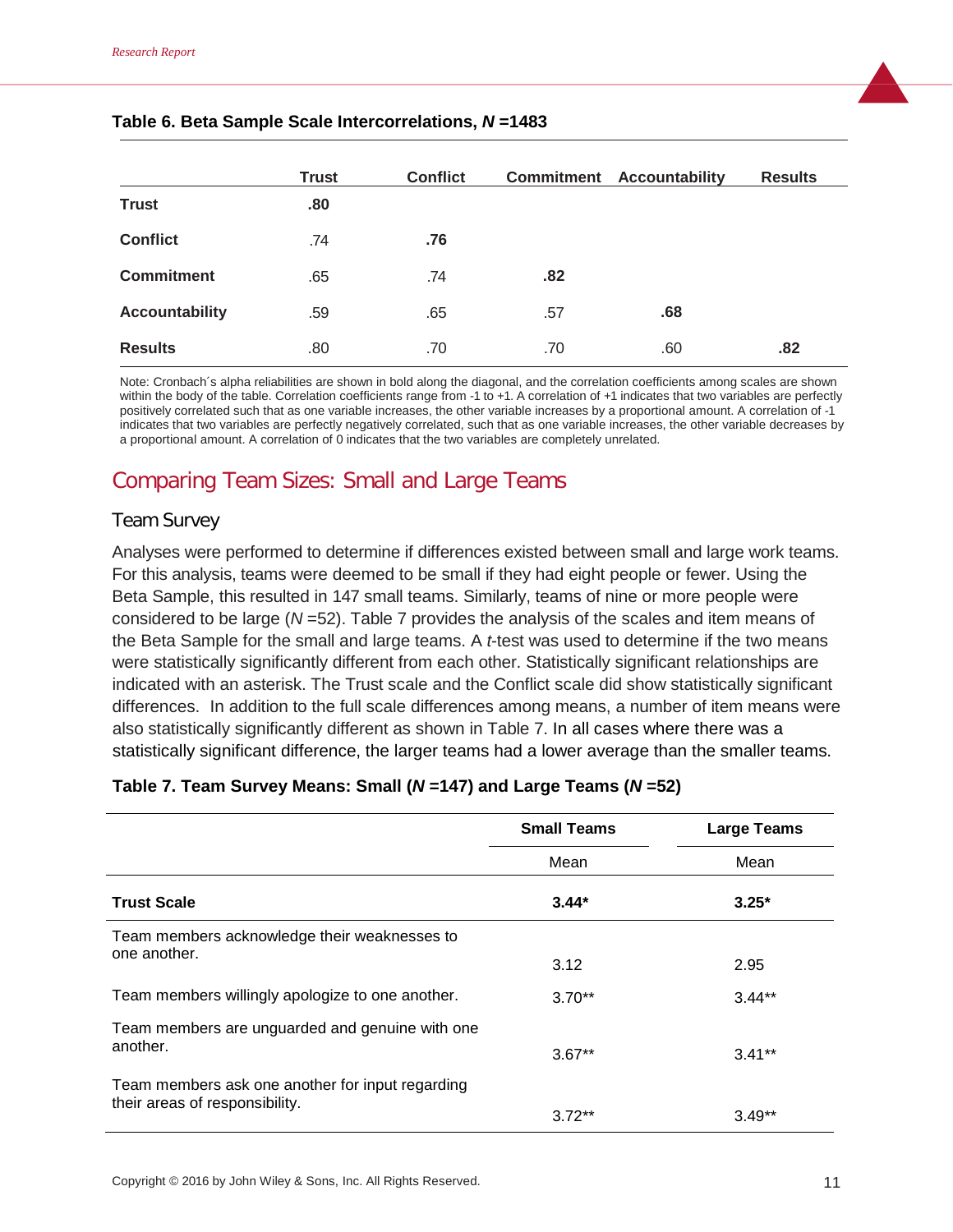|                       | <b>Trust</b> | <b>Conflict</b> |     | <b>Commitment Accountability</b> | <b>Results</b> |
|-----------------------|--------------|-----------------|-----|----------------------------------|----------------|
| <b>Trust</b>          | .80          |                 |     |                                  |                |
| <b>Conflict</b>       | .74          | .76             |     |                                  |                |
| <b>Commitment</b>     | .65          | .74             | .82 |                                  |                |
| <b>Accountability</b> | .59          | .65             | .57 | .68                              |                |
| <b>Results</b>        | .80          | .70             | .70 | .60                              | .82            |

#### **Table 6. Beta Sample Scale Intercorrelations,** *N* **=1483**

Note: Cronbach´s alpha reliabilities are shown in bold along the diagonal, and the correlation coefficients among scales are shown within the body of the table. Correlation coefficients range from -1 to +1. A correlation of +1 indicates that two variables are perfectly positively correlated such that as one variable increases, the other variable increases by a proportional amount. A correlation of -1 indicates that two variables are perfectly negatively correlated, such that as one variable increases, the other variable decreases by a proportional amount. A correlation of 0 indicates that the two variables are completely unrelated.

# Comparing Team Sizes: Small and Large Teams

#### Team Survey

Analyses were performed to determine if differences existed between small and large work teams. For this analysis, teams were deemed to be small if they had eight people or fewer. Using the Beta Sample, this resulted in 147 small teams. Similarly, teams of nine or more people were considered to be large (*N* =52). Table 7 provides the analysis of the scales and item means of the Beta Sample for the small and large teams. A *t*-test was used to determine if the two means were statistically significantly different from each other. Statistically significant relationships are indicated with an asterisk. The Trust scale and the Conflict scale did show statistically significant differences. In addition to the full scale differences among means, a number of item means were also statistically significantly different as shown in Table 7. In all cases where there was a statistically significant difference, the larger teams had a lower average than the smaller teams.

#### **Table 7. Team Survey Means: Small (***N* **=147) and Large Teams (***N* **=52)**

|                                                  | <b>Small Teams</b> | <b>Large Teams</b> |
|--------------------------------------------------|--------------------|--------------------|
|                                                  | Mean               | Mean               |
| <b>Trust Scale</b>                               | $3.44*$            | $3.25*$            |
| Team members acknowledge their weaknesses to     |                    |                    |
| one another.                                     | 3.12               | 2.95               |
| Team members willingly apologize to one another. | $3.70**$           | $3.44**$           |
| Team members are unguarded and genuine with one  |                    |                    |
| another.                                         | $3.67**$           | $3.41**$           |
| Team members ask one another for input regarding |                    |                    |
| their areas of responsibility.                   | $3.72**$           | $3.49**$           |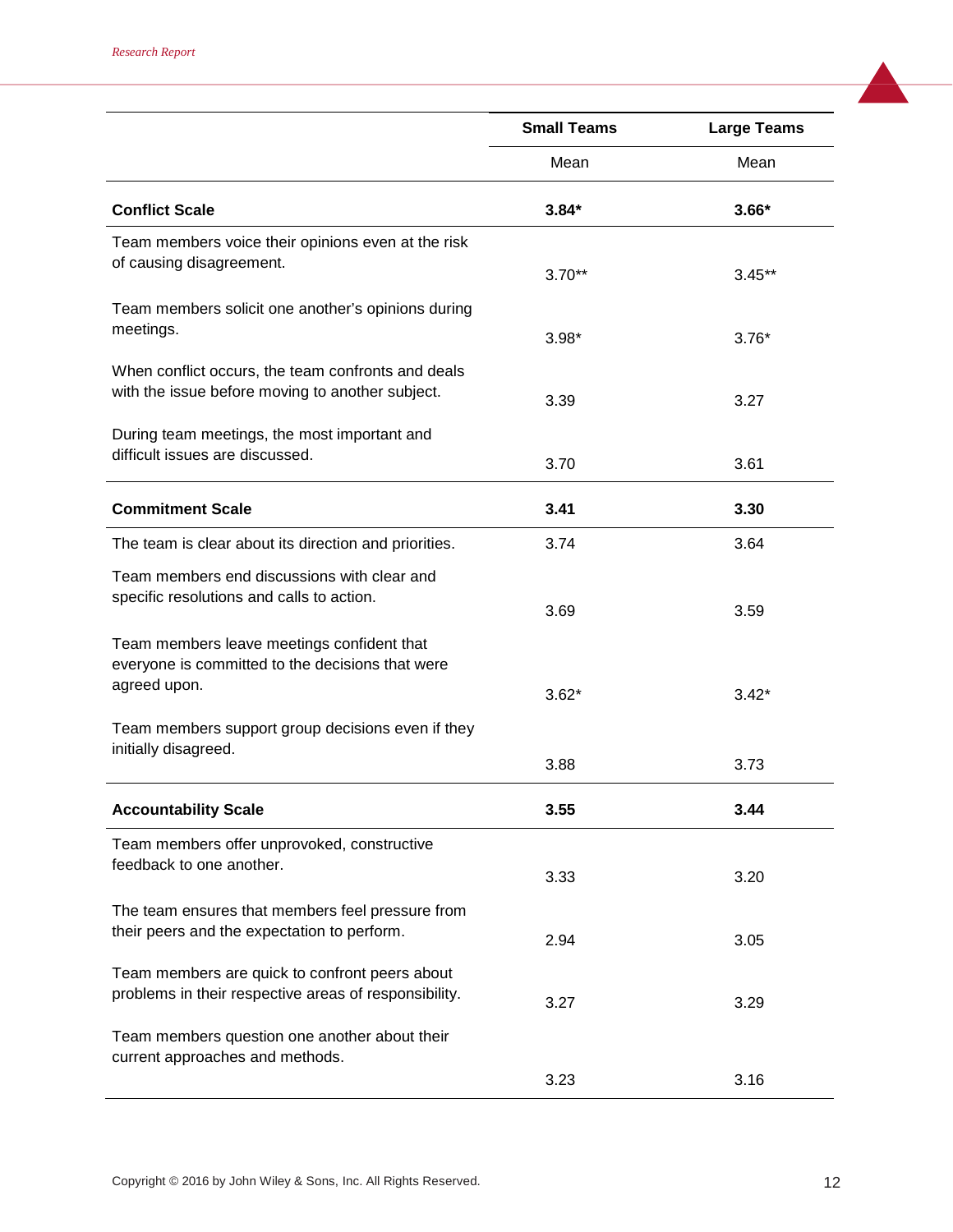|                                                                                                                | <b>Small Teams</b> | <b>Large Teams</b> |
|----------------------------------------------------------------------------------------------------------------|--------------------|--------------------|
|                                                                                                                | Mean               | Mean               |
| <b>Conflict Scale</b>                                                                                          | $3.84*$            | $3.66*$            |
| Team members voice their opinions even at the risk<br>of causing disagreement.                                 | $3.70**$           | $3.45**$           |
| Team members solicit one another's opinions during<br>meetings.                                                | $3.98*$            | $3.76*$            |
| When conflict occurs, the team confronts and deals<br>with the issue before moving to another subject.         | 3.39               | 3.27               |
| During team meetings, the most important and<br>difficult issues are discussed.                                | 3.70               | 3.61               |
| <b>Commitment Scale</b>                                                                                        | 3.41               | 3.30               |
| The team is clear about its direction and priorities.                                                          | 3.74               | 3.64               |
| Team members end discussions with clear and<br>specific resolutions and calls to action.                       | 3.69               | 3.59               |
| Team members leave meetings confident that<br>everyone is committed to the decisions that were<br>agreed upon. | $3.62*$            | $3.42*$            |
| Team members support group decisions even if they<br>initially disagreed.                                      | 3.88               | 3.73               |
| <b>Accountability Scale</b>                                                                                    | 3.55               | 3.44               |
| Team members offer unprovoked, constructive<br>feedback to one another.                                        | 3.33               | 3.20               |
| The team ensures that members feel pressure from<br>their peers and the expectation to perform.                | 2.94               | 3.05               |
| Team members are quick to confront peers about<br>problems in their respective areas of responsibility.        | 3.27               | 3.29               |
| Team members question one another about their<br>current approaches and methods.                               |                    |                    |
|                                                                                                                | 3.23               | 3.16               |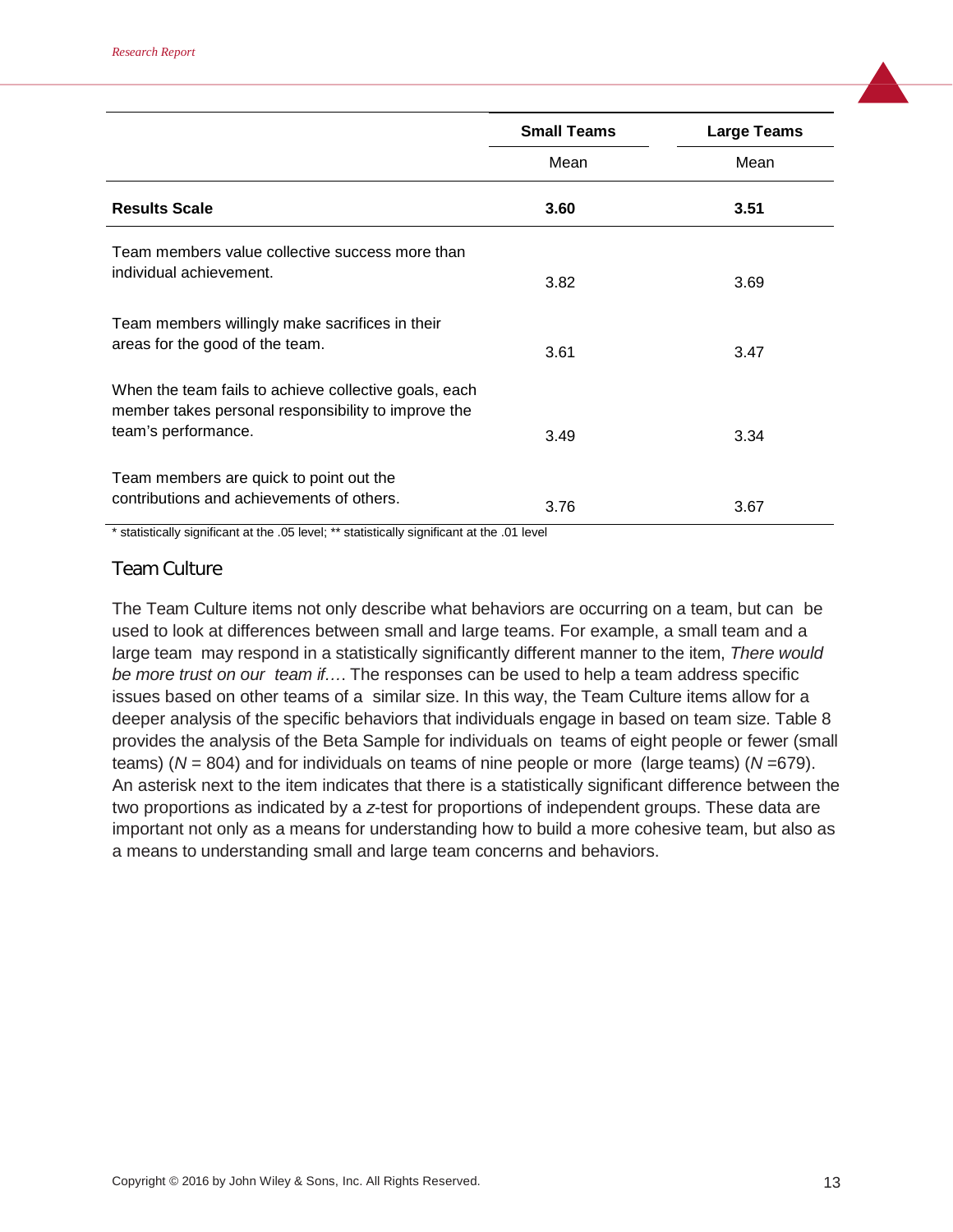|                                                                                                                                     | <b>Small Teams</b> | <b>Large Teams</b> |
|-------------------------------------------------------------------------------------------------------------------------------------|--------------------|--------------------|
|                                                                                                                                     | Mean               | Mean               |
| <b>Results Scale</b>                                                                                                                | 3.60               | 3.51               |
| Team members value collective success more than<br>individual achievement.                                                          | 3.82               | 3.69               |
| Team members willingly make sacrifices in their<br>areas for the good of the team.                                                  | 3.61               | 3.47               |
| When the team fails to achieve collective goals, each<br>member takes personal responsibility to improve the<br>team's performance. | 3.49               | 3.34               |
| Team members are quick to point out the<br>contributions and achievements of others.                                                | 3.76               | 3.67               |

\* statistically significant at the .05 level; \*\* statistically significant at the .01 level

## Team Culture

The Team Culture items not only describe what behaviors are occurring on a team, but can be used to look at differences between small and large teams. For example, a small team and a large team may respond in a statistically significantly different manner to the item, *There would be more trust on our team if…*. The responses can be used to help a team address specific issues based on other teams of a similar size. In this way, the Team Culture items allow for a deeper analysis of the specific behaviors that individuals engage in based on team size. Table 8 provides the analysis of the Beta Sample for individuals on teams of eight people or fewer (small teams) (*N* = 804) and for individuals on teams of nine people or more (large teams) (*N* =679). An asterisk next to the item indicates that there is a statistically significant difference between the two proportions as indicated by a *z*-test for proportions of independent groups. These data are important not only as a means for understanding how to build a more cohesive team, but also as a means to understanding small and large team concerns and behaviors.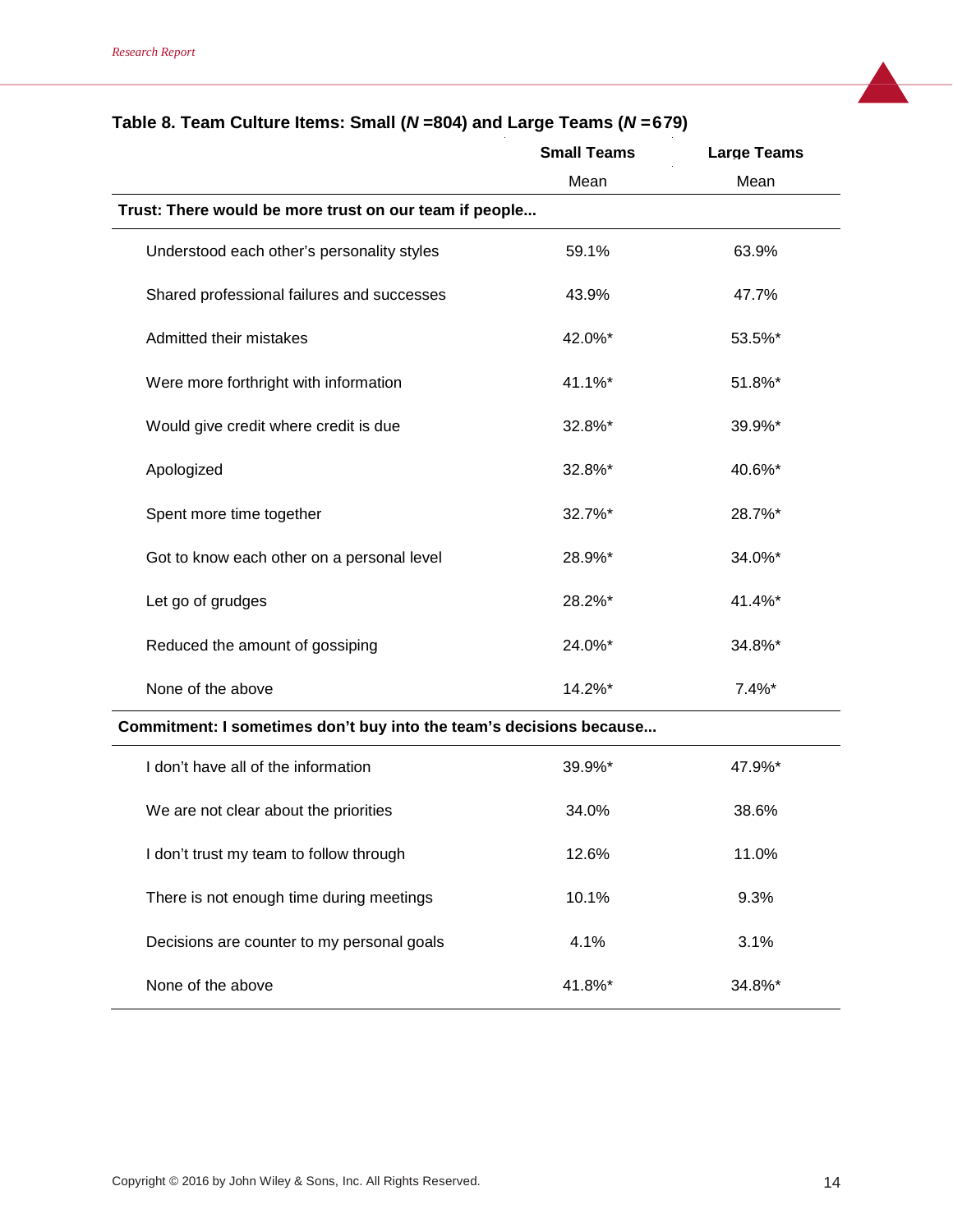|                                                                     | <b>Small Teams</b> | <b>Large Teams</b> |
|---------------------------------------------------------------------|--------------------|--------------------|
|                                                                     | Mean               | Mean               |
| Trust: There would be more trust on our team if people              |                    |                    |
| Understood each other's personality styles                          | 59.1%              | 63.9%              |
| Shared professional failures and successes                          | 43.9%              | 47.7%              |
| Admitted their mistakes                                             | 42.0%*             | 53.5%*             |
| Were more forthright with information                               | 41.1%*             | 51.8%*             |
| Would give credit where credit is due                               | 32.8%*             | 39.9%*             |
| Apologized                                                          | 32.8%*             | 40.6%*             |
| Spent more time together                                            | 32.7%*             | 28.7%*             |
| Got to know each other on a personal level                          | 28.9%*             | 34.0%*             |
| Let go of grudges                                                   | 28.2%*             | 41.4%*             |
| Reduced the amount of gossiping                                     | 24.0%*             | 34.8%*             |
| None of the above                                                   | 14.2%*             | $7.4%$ *           |
| Commitment: I sometimes don't buy into the team's decisions because |                    |                    |
| I don't have all of the information                                 | 39.9%*             | 47.9%*             |
| We are not clear about the priorities                               | 34.0%              | 38.6%              |
| I don't trust my team to follow through                             | 12.6%              | 11.0%              |
| There is not enough time during meetings                            | 10.1%              | 9.3%               |

Decisions are counter to my personal goals 4.1% 4.1% 3.1%

None of the above  $41.8\%$ \* 34.8%\* 34.8%\*

# **Table 8. Team Culture Items: Small (***N* **=804) and Large Teams (***N* **=679)**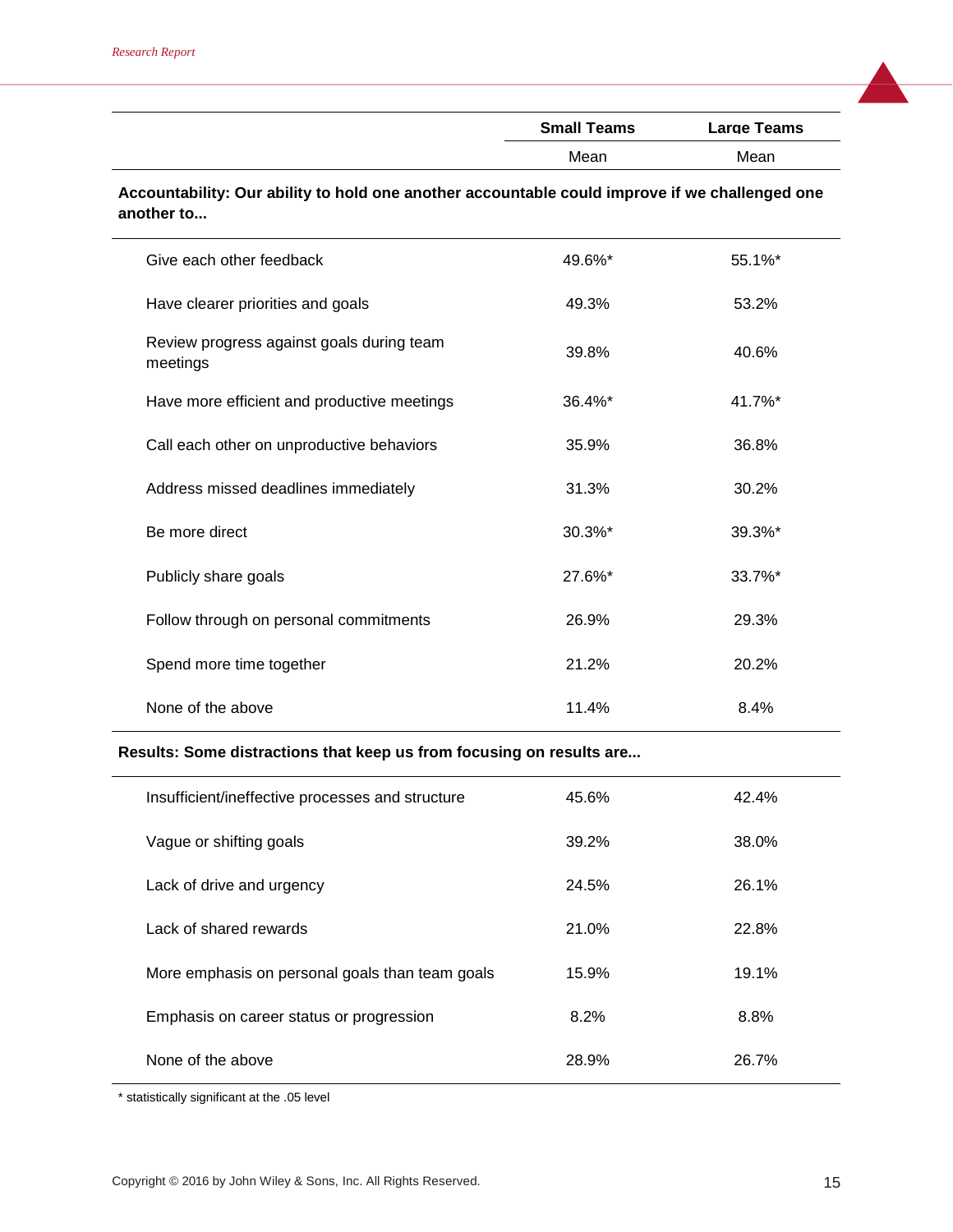| <b>Small Teams</b> | <b>Large Teams</b> |
|--------------------|--------------------|
| Mean               | Mean               |
|                    |                    |

#### **Accountability: Our ability to hold one another accountable could improve if we challenged one another to...**

| Give each other feedback                              | 49.6%* | 55.1%* |
|-------------------------------------------------------|--------|--------|
| Have clearer priorities and goals                     | 49.3%  | 53.2%  |
| Review progress against goals during team<br>meetings | 39.8%  | 40.6%  |
| Have more efficient and productive meetings           | 36.4%* | 41.7%* |
| Call each other on unproductive behaviors             | 35.9%  | 36.8%  |
| Address missed deadlines immediately                  | 31.3%  | 30.2%  |
| Be more direct                                        | 30.3%* | 39.3%* |
| Publicly share goals                                  | 27.6%* | 33.7%* |
| Follow through on personal commitments                | 26.9%  | 29.3%  |
| Spend more time together                              | 21.2%  | 20.2%  |
| None of the above                                     | 11.4%  | 8.4%   |

#### **Results: Some distractions that keep us from focusing on results are...**

| Insufficient/ineffective processes and structure | 45.6% | 42.4% |
|--------------------------------------------------|-------|-------|
| Vague or shifting goals                          | 39.2% | 38.0% |
| Lack of drive and urgency                        | 24.5% | 26.1% |
| Lack of shared rewards                           | 21.0% | 22.8% |
| More emphasis on personal goals than team goals  | 15.9% | 19.1% |
| Emphasis on career status or progression         | 8.2%  | 8.8%  |
| None of the above                                | 28.9% | 26.7% |

\* statistically significant at the .05 level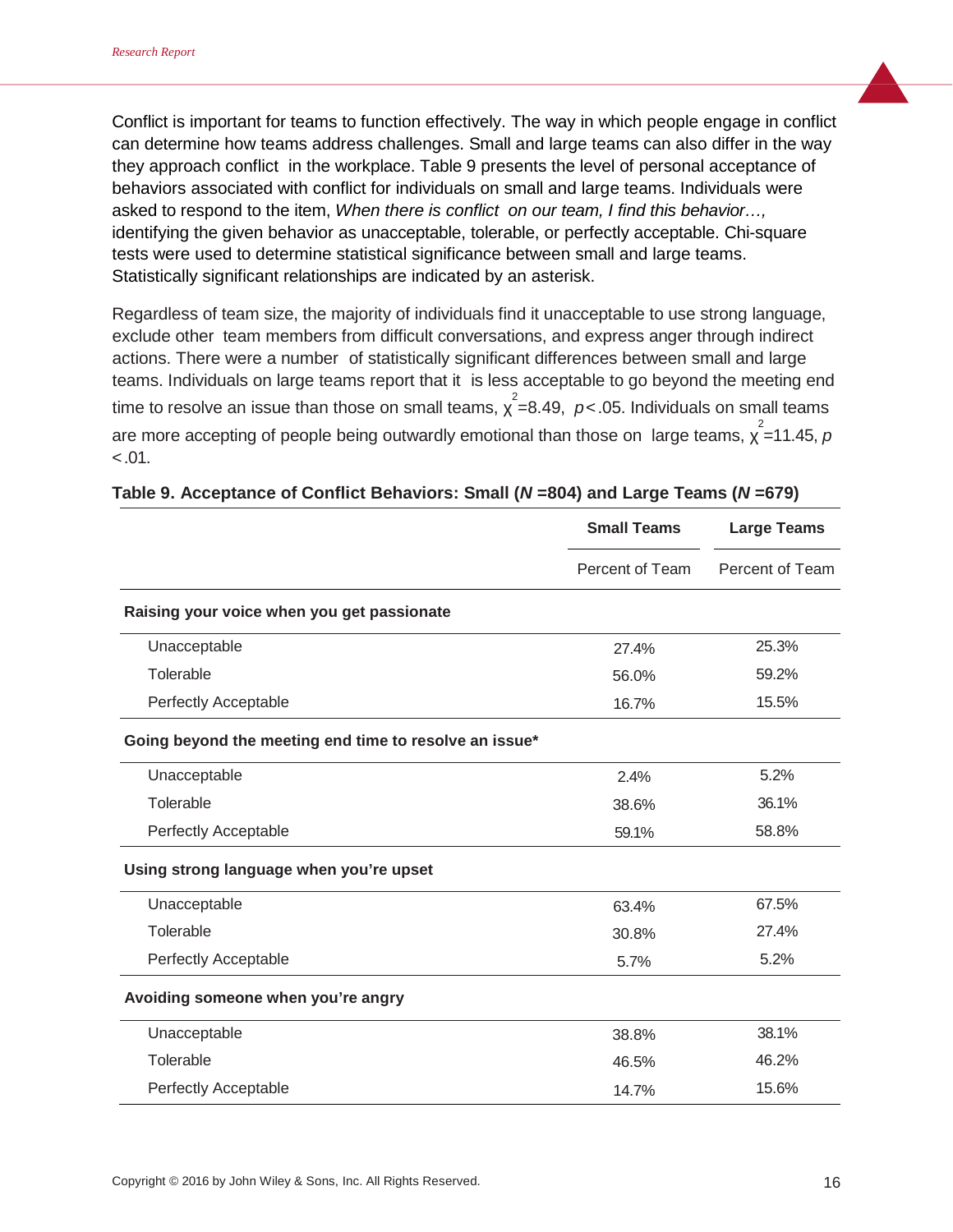Conflict is important for teams to function effectively. The way in which people engage in conflict can determine how teams address challenges. Small and large teams can also differ in the way they approach conflict in the workplace. Table 9 presents the level of personal acceptance of behaviors associated with conflict for individuals on small and large teams. Individuals were asked to respond to the item, *When there is conflict on our team, I find this behavior…,* identifying the given behavior as unacceptable, tolerable, or perfectly acceptable. Chi-square tests were used to determine statistical significance between small and large teams. Statistically significant relationships are indicated by an asterisk.

Regardless of team size, the majority of individuals find it unacceptable to use strong language, exclude other team members from difficult conversations, and express anger through indirect actions. There were a number of statistically significant differences between small and large teams. Individuals on large teams report that it is less acceptable to go beyond the meeting end time to resolve an issue than those on small teams,  $\chi^2$ =8.49,  $\rho$ <.05. Individuals on small teams are more accepting of people being outwardly emotional than those on large teams,  $\chi^2$ =11.45,  $\rho$  $< .01.$ 

|                                                        | <b>Small Teams</b> | <b>Large Teams</b> |
|--------------------------------------------------------|--------------------|--------------------|
|                                                        | Percent of Team    | Percent of Team    |
| Raising your voice when you get passionate             |                    |                    |
| Unacceptable                                           | 27.4%              | 25.3%              |
| Tolerable                                              | 56.0%              | 59.2%              |
| Perfectly Acceptable                                   | 16.7%              | 15.5%              |
| Going beyond the meeting end time to resolve an issue* |                    |                    |
| Unacceptable                                           | 2.4%               | 5.2%               |
| Tolerable                                              | 38.6%              | 36.1%              |
| Perfectly Acceptable                                   | 59.1%              | 58.8%              |
| Using strong language when you're upset                |                    |                    |
| Unacceptable                                           | 63.4%              | 67.5%              |
| Tolerable                                              | 30.8%              | 27.4%              |
| Perfectly Acceptable                                   | 5.7%               | 5.2%               |
| Avoiding someone when you're angry                     |                    |                    |
| Unacceptable                                           | 38.8%              | 38.1%              |
| Tolerable                                              | 46.5%              | 46.2%              |
| Perfectly Acceptable                                   | 14.7%              | 15.6%              |

#### **Table 9. Acceptance of Conflict Behaviors: Small (***N* **=804) and Large Teams (***N* **=679)**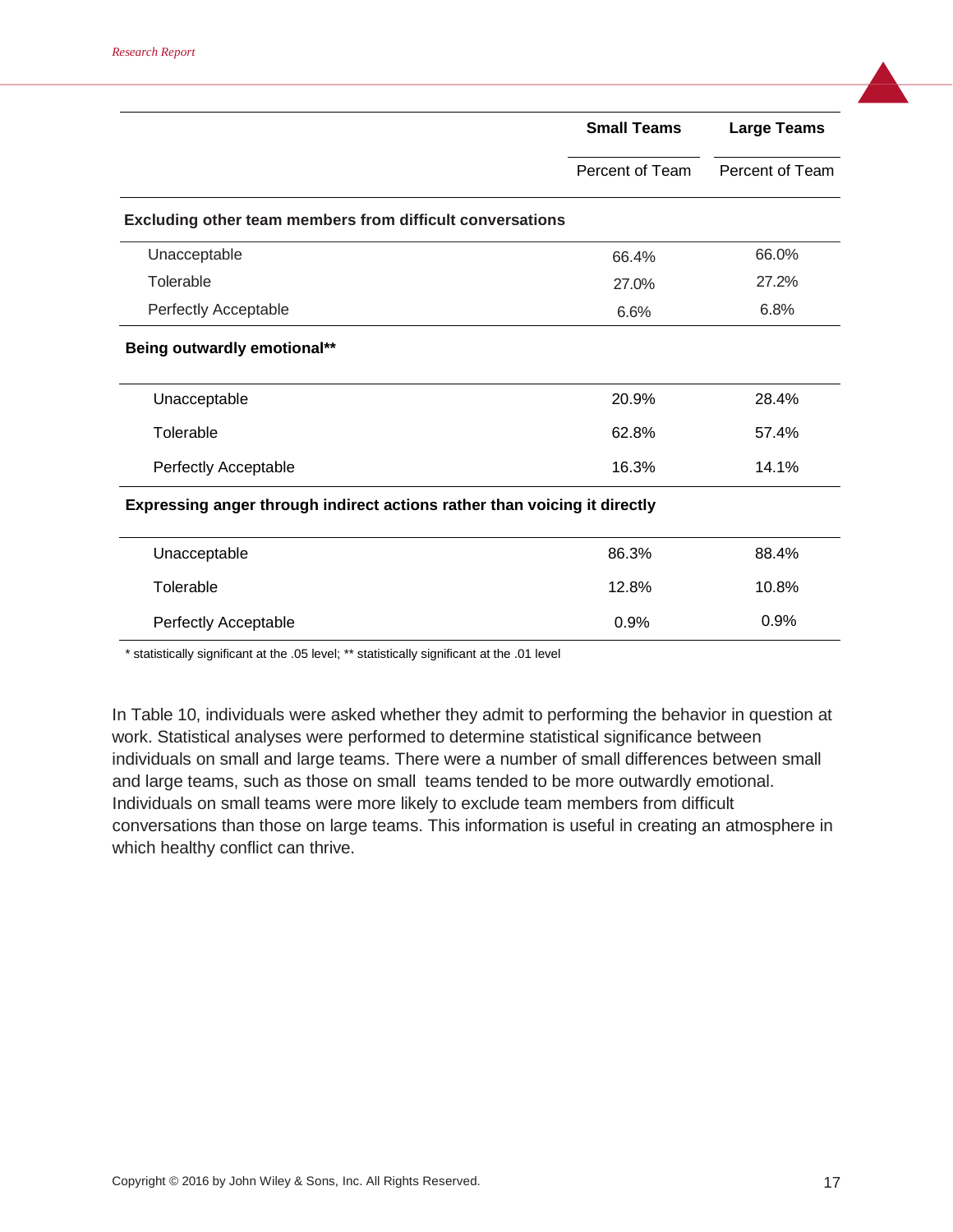|                                                                           | <b>Small Teams</b> | <b>Large Teams</b> |
|---------------------------------------------------------------------------|--------------------|--------------------|
|                                                                           | Percent of Team    | Percent of Team    |
| Excluding other team members from difficult conversations                 |                    |                    |
| Unacceptable                                                              | 66.4%              | 66.0%              |
| Tolerable                                                                 | 27.0%              | 27.2%              |
| Perfectly Acceptable                                                      | 6.6%               | 6.8%               |
| Being outwardly emotional**                                               |                    |                    |
| Unacceptable                                                              | 20.9%              | 28.4%              |
| Tolerable                                                                 | 62.8%              | 57.4%              |
| Perfectly Acceptable                                                      | 16.3%              | 14.1%              |
| Expressing anger through indirect actions rather than voicing it directly |                    |                    |
| Unacceptable                                                              | 86.3%              | 88.4%              |
| Tolerable                                                                 | 12.8%              | 10.8%              |
| Perfectly Acceptable                                                      | 0.9%               | 0.9%               |

\* statistically significant at the .05 level; \*\* statistically significant at the .01 level

In Table 10, individuals were asked whether they admit to performing the behavior in question at work. Statistical analyses were performed to determine statistical significance between individuals on small and large teams. There were a number of small differences between small and large teams, such as those on small teams tended to be more outwardly emotional. Individuals on small teams were more likely to exclude team members from difficult conversations than those on large teams. This information is useful in creating an atmosphere in which healthy conflict can thrive.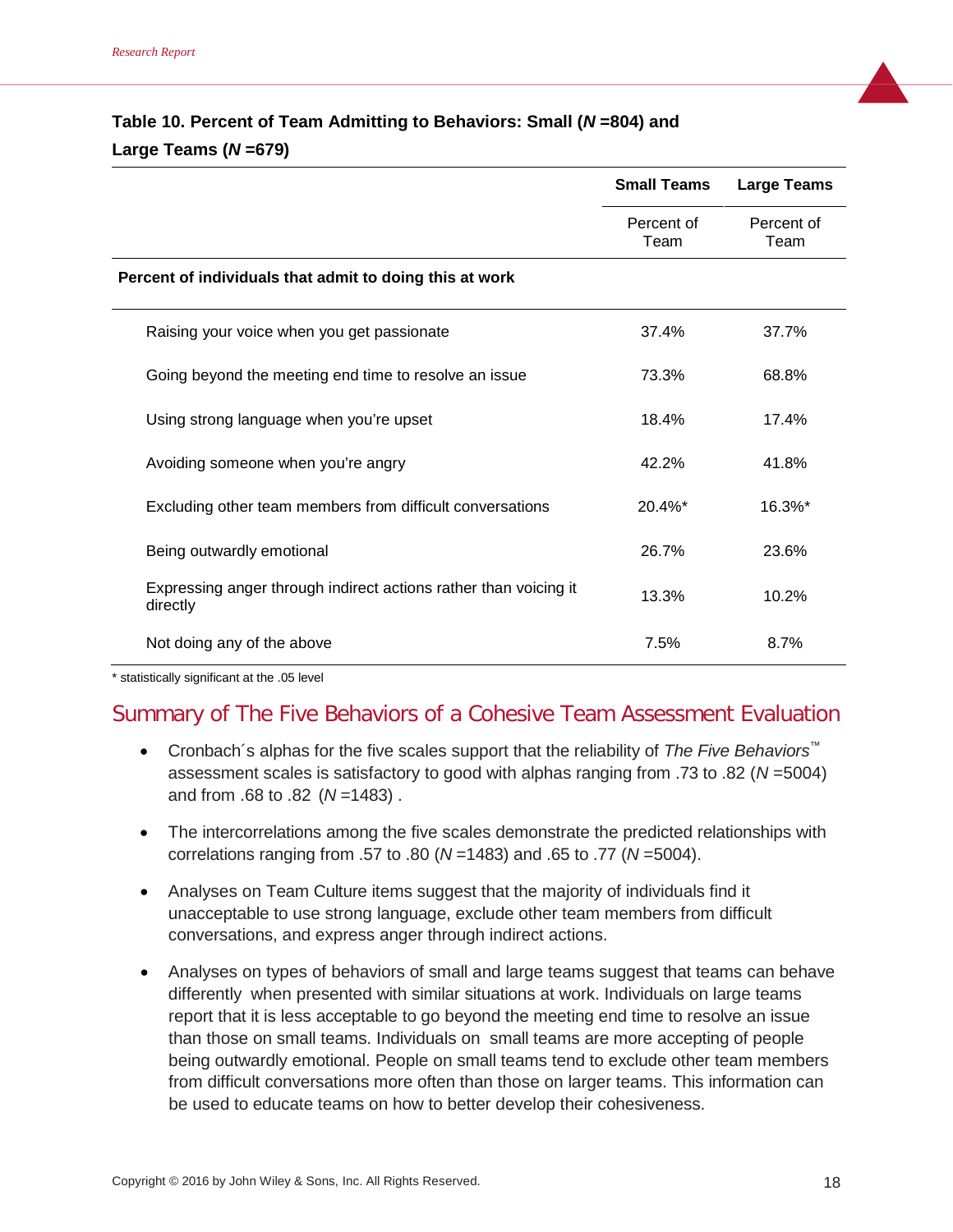# **Table 10. Percent of Team Admitting to Behaviors: Small (***N* **=804) and Large Teams (***N* **=679)**

|                                                                              | <b>Small Teams</b> | <b>Large Teams</b> |
|------------------------------------------------------------------------------|--------------------|--------------------|
|                                                                              | Percent of<br>Team | Percent of<br>Team |
| Percent of individuals that admit to doing this at work                      |                    |                    |
| Raising your voice when you get passionate                                   | 37.4%              | 37.7%              |
| Going beyond the meeting end time to resolve an issue                        | 73.3%              | 68.8%              |
| Using strong language when you're upset                                      | 18.4%              | 17.4%              |
| Avoiding someone when you're angry                                           | 42.2%              | 41.8%              |
| Excluding other team members from difficult conversations                    | $20.4\%$ *         | 16.3%*             |
| Being outwardly emotional                                                    | 26.7%              | 23.6%              |
| Expressing anger through indirect actions rather than voicing it<br>directly | 13.3%              | 10.2%              |
| Not doing any of the above                                                   | 7.5%               | 8.7%               |

\* statistically significant at the .05 level

# Summary of The Five Behaviors of a Cohesive Team Assessment Evaluation

- Cronbach´s alphas for the five scales support that the reliability of *The Five Behaviors™* assessment scales is satisfactory to good with alphas ranging from .73 to .82 (*N* =5004) and from .68 to .82 (*N* =1483) .
- The intercorrelations among the five scales demonstrate the predicted relationships with correlations ranging from .57 to .80 (*N* =1483) and .65 to .77 (*N* =5004).
- Analyses on Team Culture items suggest that the majority of individuals find it unacceptable to use strong language, exclude other team members from difficult conversations, and express anger through indirect actions.
- Analyses on types of behaviors of small and large teams suggest that teams can behave differently when presented with similar situations at work. Individuals on large teams report that it is less acceptable to go beyond the meeting end time to resolve an issue than those on small teams. Individuals on small teams are more accepting of people being outwardly emotional. People on small teams tend to exclude other team members from difficult conversations more often than those on larger teams. This information can be used to educate teams on how to better develop their cohesiveness.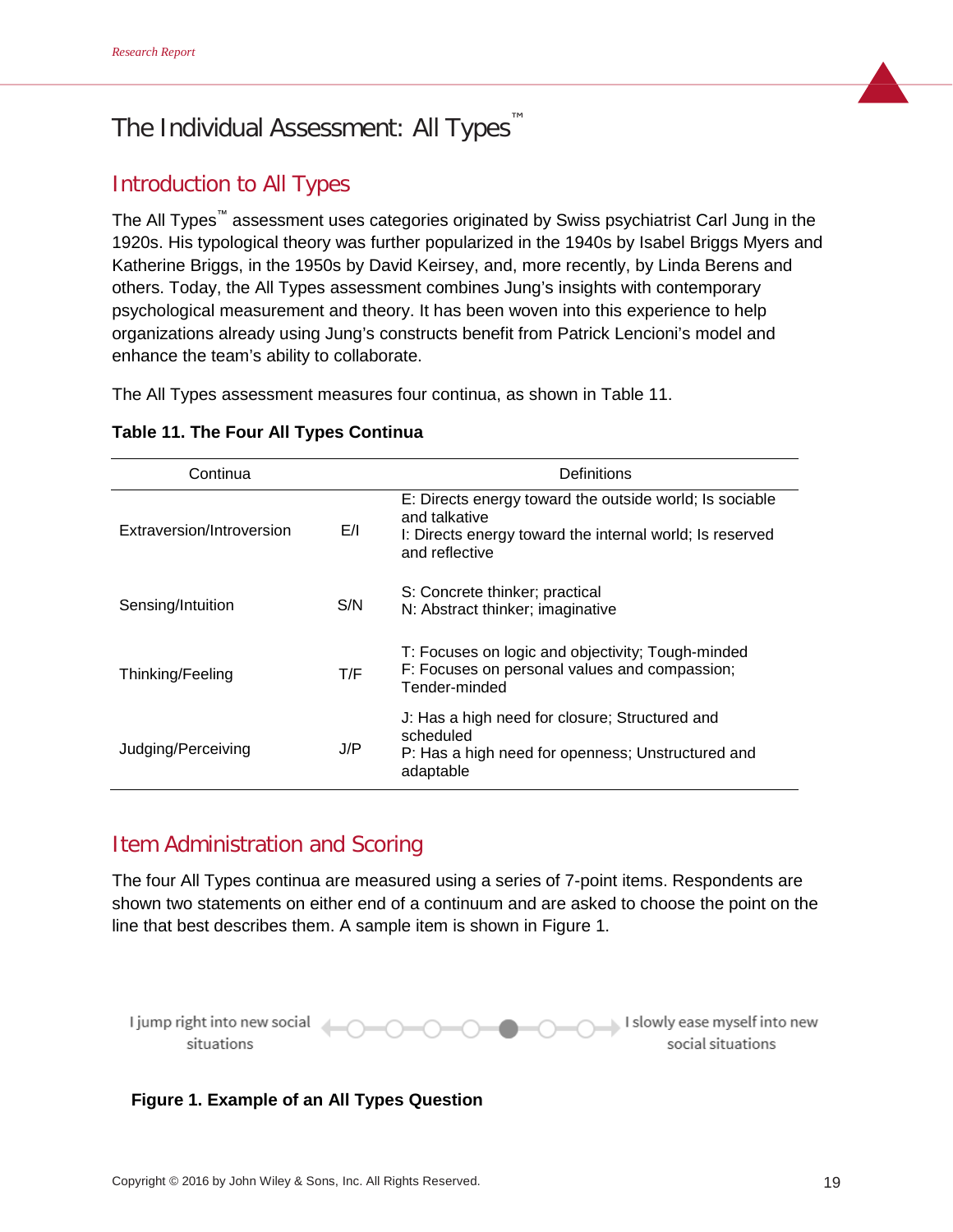# The Individual Assessment: All Types

# Introduction to All Types

The All Types™ assessment uses categories originated by Swiss psychiatrist Carl Jung in the 1920s. His typological theory was further popularized in the 1940s by Isabel Briggs Myers and Katherine Briggs, in the 1950s by David Keirsey, and, more recently, by Linda Berens and others. Today, the All Types assessment combines Jung's insights with contemporary psychological measurement and theory. It has been woven into this experience to help organizations already using Jung's constructs benefit from Patrick Lencioni's model and enhance the team's ability to collaborate.

The All Types assessment measures four continua, as shown in Table 11.

| Continua                  |     | Definitions                                                                                                                                            |
|---------------------------|-----|--------------------------------------------------------------------------------------------------------------------------------------------------------|
| Extraversion/Introversion | E/I | E: Directs energy toward the outside world; Is sociable<br>and talkative<br>I: Directs energy toward the internal world; Is reserved<br>and reflective |
| Sensing/Intuition         | S/N | S: Concrete thinker; practical<br>N: Abstract thinker; imaginative                                                                                     |
| Thinking/Feeling          | T/F | T: Focuses on logic and objectivity; Tough-minded<br>F: Focuses on personal values and compassion;<br>Tender-minded                                    |
| Judging/Perceiving        | J/P | J: Has a high need for closure; Structured and<br>scheduled<br>P: Has a high need for openness; Unstructured and<br>adaptable                          |

# Item Administration and Scoring

The four All Types continua are measured using a series of 7-point items. Respondents are shown two statements on either end of a continuum and are asked to choose the point on the line that best describes them. A sample item is shown in Figure 1.



## **Figure 1. Example of an All Types Question**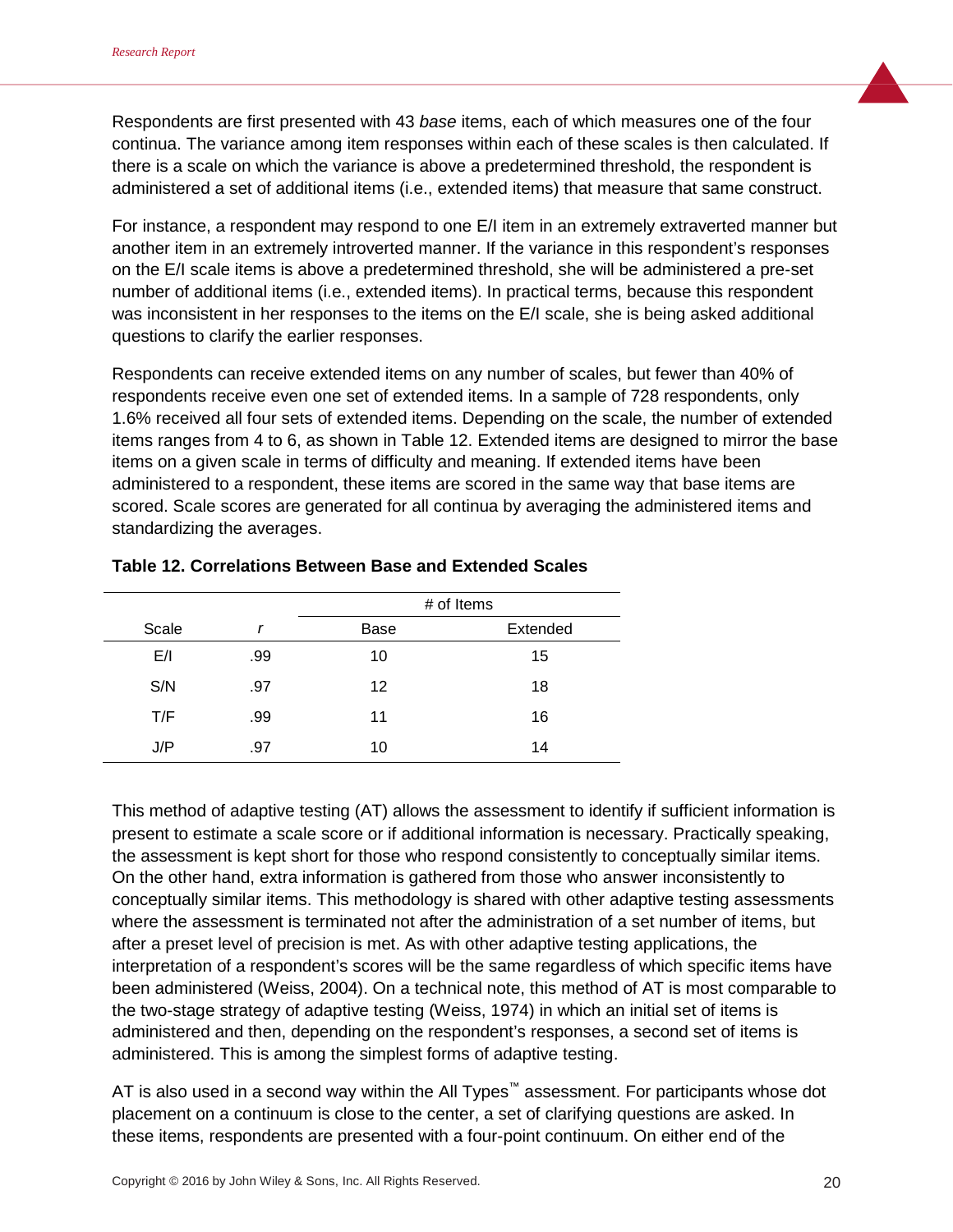Respondents are first presented with 43 *base* items, each of which measures one of the four continua. The variance among item responses within each of these scales is then calculated. If there is a scale on which the variance is above a predetermined threshold, the respondent is administered a set of additional items (i.e., extended items) that measure that same construct.

For instance, a respondent may respond to one E/I item in an extremely extraverted manner but another item in an extremely introverted manner. If the variance in this respondent's responses on the E/I scale items is above a predetermined threshold, she will be administered a pre-set number of additional items (i.e., extended items). In practical terms, because this respondent was inconsistent in her responses to the items on the E/I scale, she is being asked additional questions to clarify the earlier responses.

Respondents can receive extended items on any number of scales, but fewer than 40% of respondents receive even one set of extended items. In a sample of 728 respondents, only 1.6% received all four sets of extended items. Depending on the scale, the number of extended items ranges from 4 to 6, as shown in Table 12. Extended items are designed to mirror the base items on a given scale in terms of difficulty and meaning. If extended items have been administered to a respondent, these items are scored in the same way that base items are scored. Scale scores are generated for all continua by averaging the administered items and standardizing the averages.

|       |     |      | # of Items |
|-------|-----|------|------------|
| Scale | r   | Base | Extended   |
| E/I   | .99 | 10   | 15         |
| S/N   | .97 | 12   | 18         |
| T/F   | .99 | 11   | 16         |
| J/P   | .97 | 10   | 14         |

#### **Table 12. Correlations Between Base and Extended Scales**

This method of adaptive testing (AT) allows the assessment to identify if sufficient information is present to estimate a scale score or if additional information is necessary. Practically speaking, the assessment is kept short for those who respond consistently to conceptually similar items. On the other hand, extra information is gathered from those who answer inconsistently to conceptually similar items. This methodology is shared with other adaptive testing assessments where the assessment is terminated not after the administration of a set number of items, but after a preset level of precision is met. As with other adaptive testing applications, the interpretation of a respondent's scores will be the same regardless of which specific items have been administered (Weiss, 2004). On a technical note, this method of AT is most comparable to the two-stage strategy of adaptive testing (Weiss, 1974) in which an initial set of items is administered and then, depending on the respondent's responses, a second set of items is administered. This is among the simplest forms of adaptive testing.

AT is also used in a second way within the All Types<sup>™</sup> assessment. For participants whose dot placement on a continuum is close to the center, a set of clarifying questions are asked. In these items, respondents are presented with a four-point continuum. On either end of the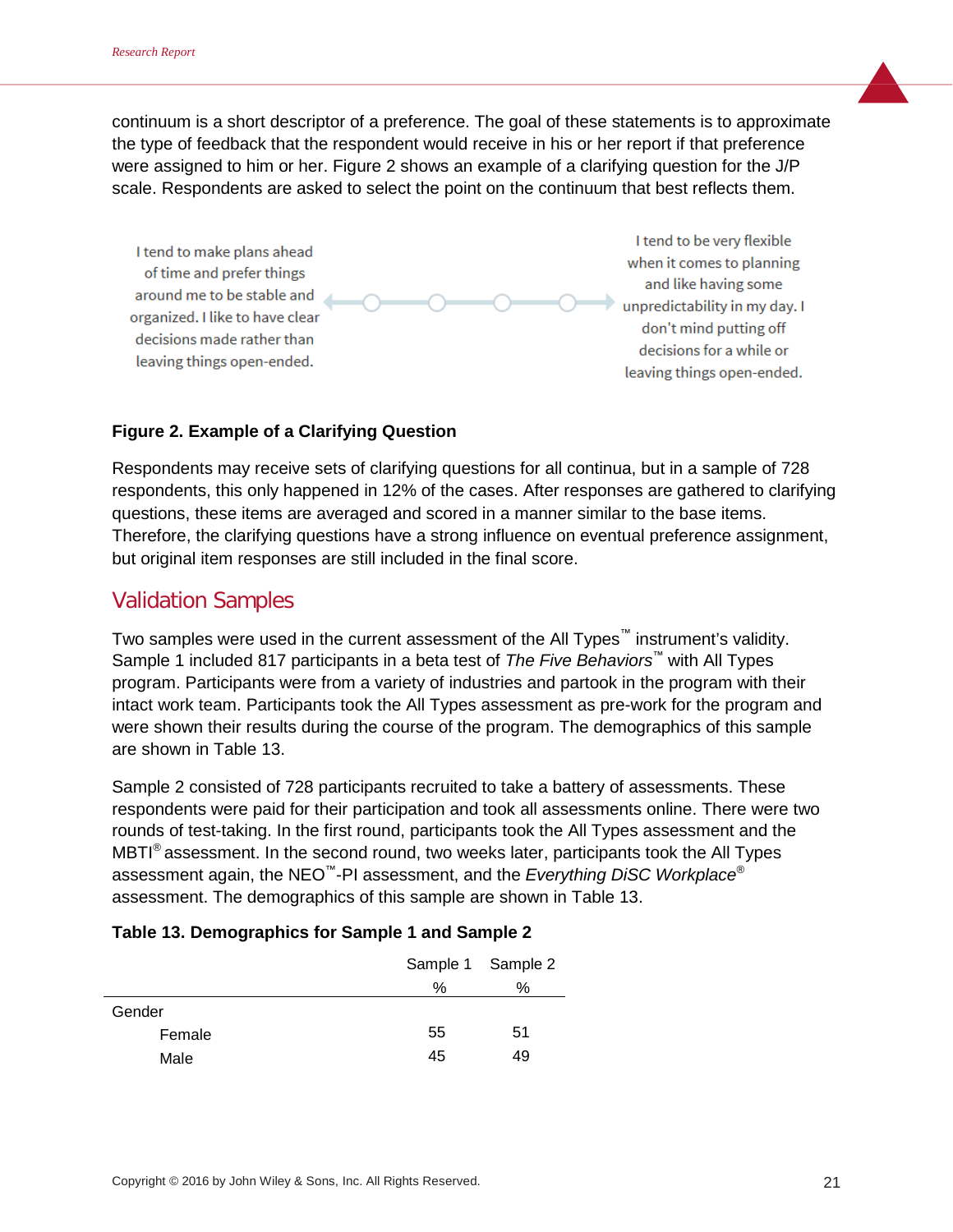continuum is a short descriptor of a preference. The goal of these statements is to approximate the type of feedback that the respondent would receive in his or her report if that preference were assigned to him or her. Figure 2 shows an example of a clarifying question for the J/P scale. Respondents are asked to select the point on the continuum that best reflects them.

I tend to make plans ahead of time and prefer things around me to be stable and organized. I like to have clear decisions made rather than leaving things open-ended.

I tend to be very flexible when it comes to planning and like having some unpredictability in my day. I don't mind putting off decisions for a while or leaving things open-ended.

## **Figure 2. Example of a Clarifying Question**

Respondents may receive sets of clarifying questions for all continua, but in a sample of 728 respondents, this only happened in 12% of the cases. After responses are gathered to clarifying questions, these items are averaged and scored in a manner similar to the base items. Therefore, the clarifying questions have a strong influence on eventual preference assignment, but original item responses are still included in the final score.

# Validation Samples

Two samples were used in the current assessment of the All Types<sup>™</sup> instrument's validity. Sample 1 included 817 participants in a beta test of *The Five Behaviors™* with All Types program. Participants were from a variety of industries and partook in the program with their intact work team. Participants took the All Types assessment as pre-work for the program and were shown their results during the course of the program. The demographics of this sample are shown in Table 13.

Sample 2 consisted of 728 participants recruited to take a battery of assessments. These respondents were paid for their participation and took all assessments online. There were two rounds of test-taking. In the first round, participants took the All Types assessment and the  $\text{MBTI}^{\otimes}$  assessment. In the second round, two weeks later, participants took the All Types assessment again, the NEO™-PI assessment, and the *Everything DiSC Workplace*® assessment. The demographics of this sample are shown in Table 13.

|        |      | Sample 1 Sample 2 |
|--------|------|-------------------|
|        | $\%$ | ℅                 |
| Gender |      |                   |
| Female | 55   | 51                |
| Male   | 45   | 49                |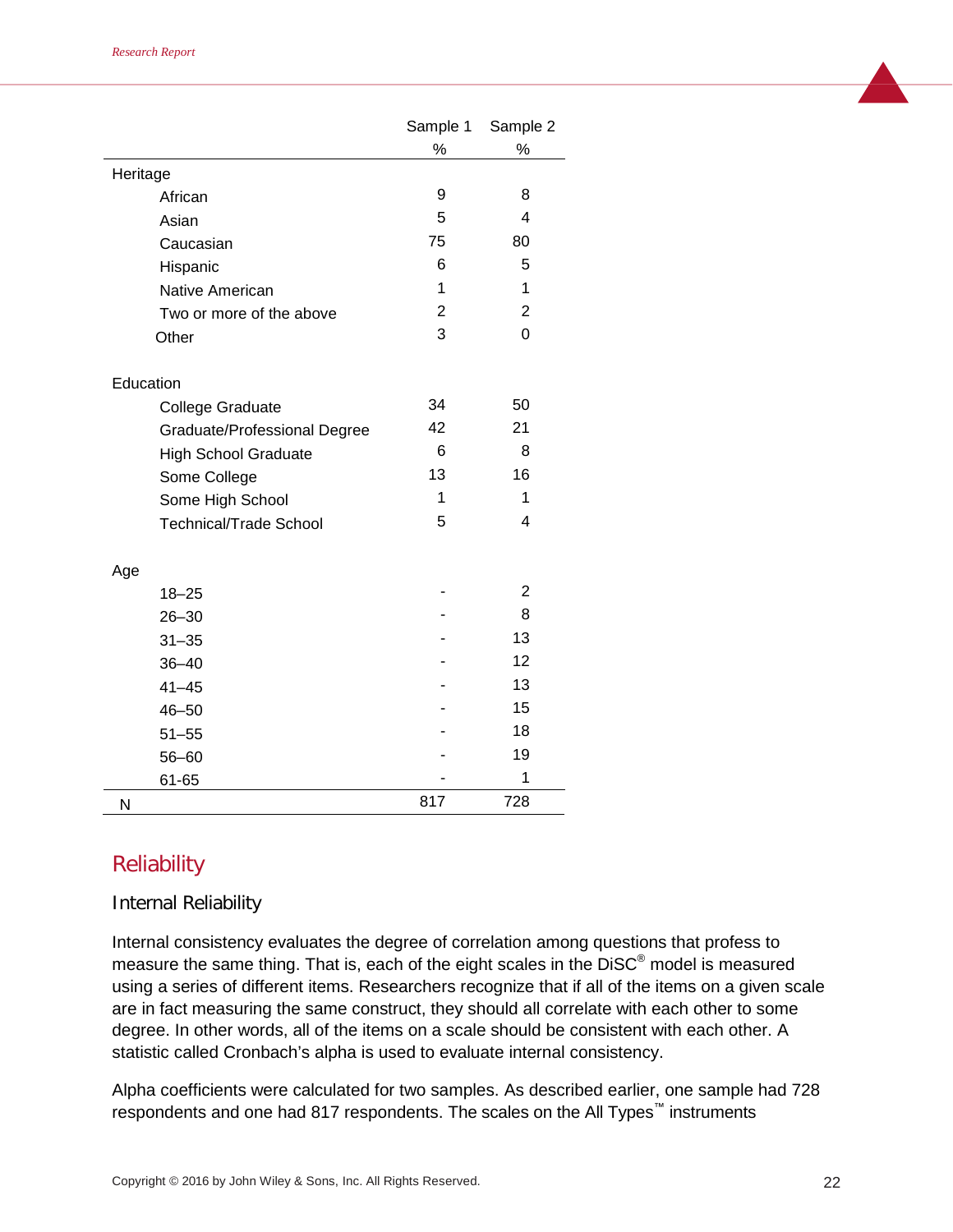|                               | Sample 1     | Sample 2                |
|-------------------------------|--------------|-------------------------|
|                               | ℅            | ℅                       |
| Heritage                      |              |                         |
| African                       | 9            | 8                       |
| Asian                         | 5            | $\overline{\mathbf{4}}$ |
| Caucasian                     | 75           | 80                      |
| Hispanic                      | 6            | 5                       |
| Native American               | 1            | 1                       |
| Two or more of the above      | $\mathbf{2}$ | $\overline{2}$          |
| Other                         | 3            | 0                       |
| Education                     |              |                         |
| <b>College Graduate</b>       | 34           | 50                      |
| Graduate/Professional Degree  | 42           | 21                      |
| <b>High School Graduate</b>   | 6            | 8                       |
| Some College                  | 13           | 16                      |
| Some High School              | 1            | 1                       |
| <b>Technical/Trade School</b> | 5            | 4                       |
| Age                           |              |                         |
| $18 - 25$                     |              | 2                       |
| $26 - 30$                     |              | 8                       |
| $31 - 35$                     |              | 13                      |
| $36 - 40$                     |              | 12                      |
| $41 - 45$                     |              | 13                      |
| $46 - 50$                     |              | 15                      |
| $51 - 55$                     |              | 18                      |
| $56 - 60$                     |              | 19                      |
| 61-65                         |              | 1                       |
| N                             | 817          | 728                     |

# **Reliability**

#### Internal Reliability

Internal consistency evaluates the degree of correlation among questions that profess to measure the same thing. That is, each of the eight scales in the DiSC® model is measured using a series of different items. Researchers recognize that if all of the items on a given scale are in fact measuring the same construct, they should all correlate with each other to some degree. In other words, all of the items on a scale should be consistent with each other. A statistic called Cronbach's alpha is used to evaluate internal consistency.

Alpha coefficients were calculated for two samples. As described earlier, one sample had 728 respondents and one had 817 respondents. The scales on the All Types*™* instruments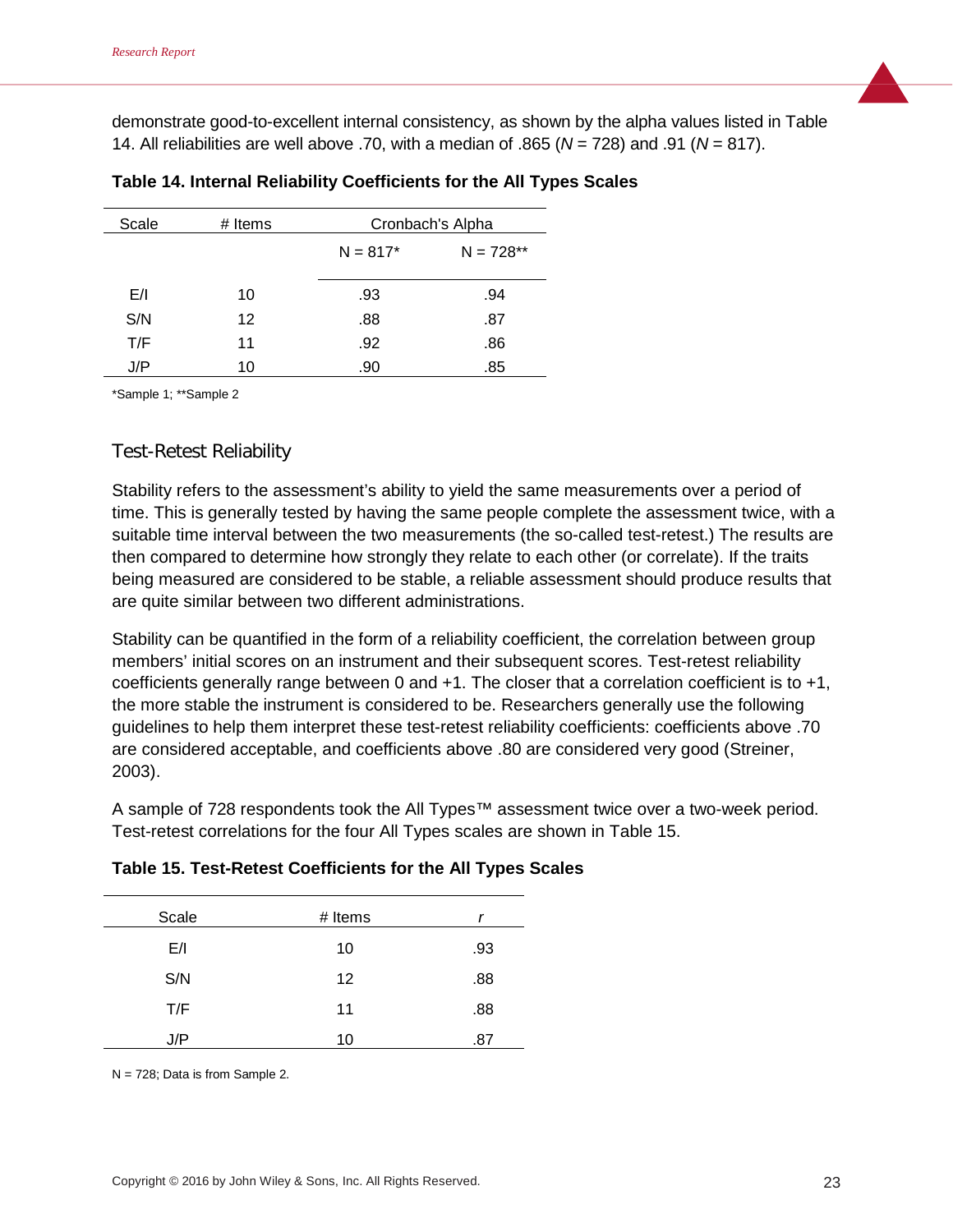demonstrate good-to-excellent internal consistency, as shown by the alpha values listed in Table 14. All reliabilities are well above .70, with a median of .865 (*N* = 728) and .91 (*N* = 817).

| Scale | # Items | Cronbach's Alpha |             |
|-------|---------|------------------|-------------|
|       |         | $N = 817*$       | $N = 728**$ |
| E/I   | 10      | .93              | .94         |
| S/N   | 12      | .88              | .87         |
| T/F   | 11      | .92              | .86         |
| J/P   | 10      | .90              | .85         |

\*Sample 1; \*\*Sample 2

#### Test-Retest Reliability

Stability refers to the assessment's ability to yield the same measurements over a period of time. This is generally tested by having the same people complete the assessment twice, with a suitable time interval between the two measurements (the so-called test-retest.) The results are then compared to determine how strongly they relate to each other (or correlate). If the traits being measured are considered to be stable, a reliable assessment should produce results that are quite similar between two different administrations.

Stability can be quantified in the form of a reliability coefficient, the correlation between group members' initial scores on an instrument and their subsequent scores. Test-retest reliability coefficients generally range between 0 and +1. The closer that a correlation coefficient is to +1, the more stable the instrument is considered to be. Researchers generally use the following guidelines to help them interpret these test-retest reliability coefficients: coefficients above .70 are considered acceptable, and coefficients above .80 are considered very good (Streiner, 2003).

A sample of 728 respondents took the All Types™ assessment twice over a two-week period. Test-retest correlations for the four All Types scales are shown in Table 15.

#### **Table 15. Test-Retest Coefficients for the All Types Scales**

| Scale | # Items | r   |
|-------|---------|-----|
| E/I   | 10      | .93 |
| S/N   | 12      | .88 |
| T/F   | 11      | .88 |
| J/P   | 10      | .87 |

N = 728; Data is from Sample 2.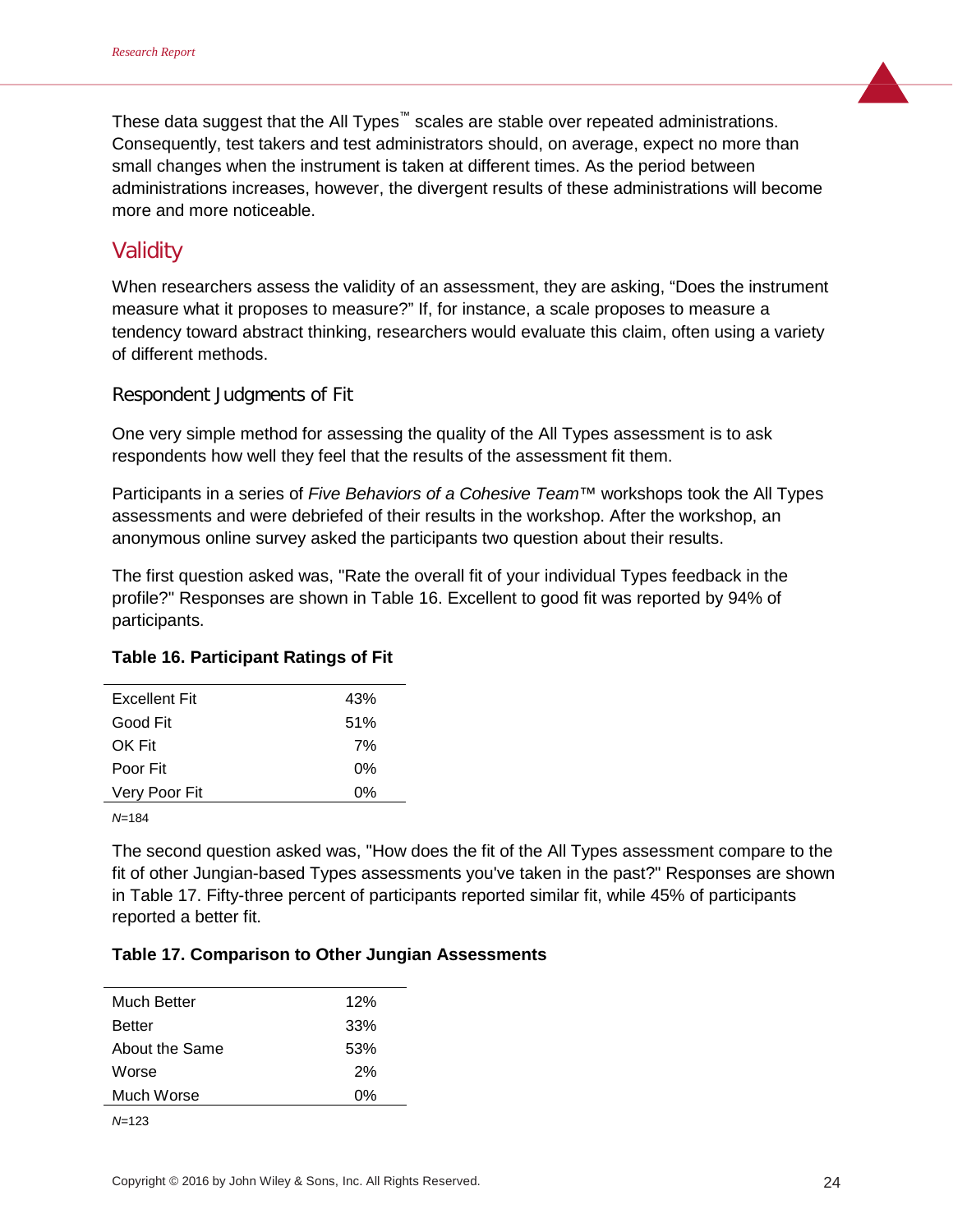These data suggest that the All Types™ scales are stable over repeated administrations. Consequently, test takers and test administrators should, on average, expect no more than small changes when the instrument is taken at different times. As the period between administrations increases, however, the divergent results of these administrations will become more and more noticeable.

# Validity

When researchers assess the validity of an assessment, they are asking, "Does the instrument measure what it proposes to measure?" If, for instance, a scale proposes to measure a tendency toward abstract thinking, researchers would evaluate this claim, often using a variety of different methods.

#### Respondent Judgments of Fit

One very simple method for assessing the quality of the All Types assessment is to ask respondents how well they feel that the results of the assessment fit them.

Participants in a series of *Five Behaviors of a Cohesive Team*™ workshops took the All Types assessments and were debriefed of their results in the workshop. After the workshop, an anonymous online survey asked the participants two question about their results.

The first question asked was, "Rate the overall fit of your individual Types feedback in the profile?" Responses are shown in Table 16. Excellent to good fit was reported by 94% of participants.

#### **Table 16. Participant Ratings of Fit**

| <b>Excellent Fit</b> | 43% |
|----------------------|-----|
| Good Fit             | 51% |
| OK Fit               | 7%  |
| Poor Fit             | 0%  |
| Very Poor Fit        | 0%  |
|                      |     |

*N*=184

The second question asked was, "How does the fit of the All Types assessment compare to the fit of other Jungian-based Types assessments you've taken in the past?" Responses are shown in Table 17. Fifty-three percent of participants reported similar fit, while 45% of participants reported a better fit.

#### **Table 17. Comparison to Other Jungian Assessments**

| Much Better    | 12% |
|----------------|-----|
| <b>Better</b>  | 33% |
| About the Same | 53% |
| Worse          | 2%  |
| Much Worse     | 0%  |
| N=123          |     |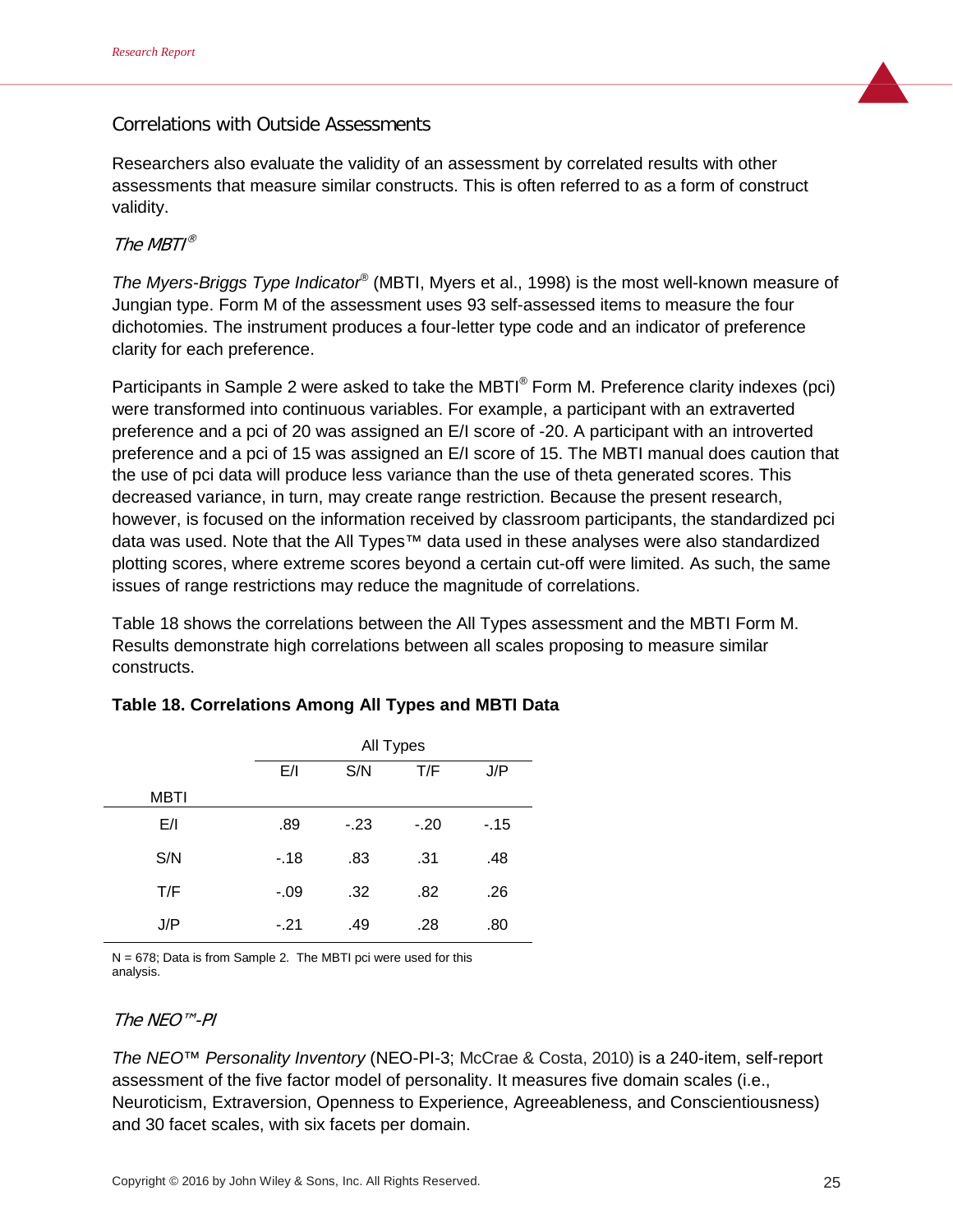## Correlations with Outside Assessments

Researchers also evaluate the validity of an assessment by correlated results with other assessments that measure similar constructs. This is often referred to as a form of construct validity.

#### The  $MRTI^{\circledR}$

*The Myers-Briggs Type Indicator*® (MBTI, Myers et al., 1998) is the most well-known measure of Jungian type. Form M of the assessment uses 93 self-assessed items to measure the four dichotomies. The instrument produces a four-letter type code and an indicator of preference clarity for each preference.

Participants in Sample 2 were asked to take the MBTI<sup>®</sup> Form M. Preference clarity indexes (pci) were transformed into continuous variables. For example, a participant with an extraverted preference and a pci of 20 was assigned an E/I score of -20. A participant with an introverted preference and a pci of 15 was assigned an E/I score of 15. The MBTI manual does caution that the use of pci data will produce less variance than the use of theta generated scores. This decreased variance, in turn, may create range restriction. Because the present research, however, is focused on the information received by classroom participants, the standardized pci data was used. Note that the All Types™ data used in these analyses were also standardized plotting scores, where extreme scores beyond a certain cut-off were limited. As such, the same issues of range restrictions may reduce the magnitude of correlations.

Table 18 shows the correlations between the All Types assessment and the MBTI Form M. Results demonstrate high correlations between all scales proposing to measure similar constructs.

|             |        | All Types |        |       |
|-------------|--------|-----------|--------|-------|
|             | E/I    | S/N       | T/F    | J/P   |
| <b>MBTI</b> |        |           |        |       |
| E/I         | .89    | $-23$     | $-.20$ | $-15$ |
| S/N         | $-18$  | .83       | .31    | .48   |
| T/F         | $-.09$ | .32       | .82    | .26   |
| J/P         | $-.21$ | .49       | .28    | .80   |

#### **Table 18. Correlations Among All Types and MBTI Data**

 $N = 678$ ; Data is from Sample 2. The MBTI pci were used for this analysis.

#### The NEO™-PI

*The NEO™ Personality Inventory* (NEO-PI-3; McCrae & Costa, 2010) is a 240-item, self-report assessment of the five factor model of personality. It measures five domain scales (i.e., Neuroticism, Extraversion, Openness to Experience, Agreeableness, and Conscientiousness) and 30 facet scales, with six facets per domain.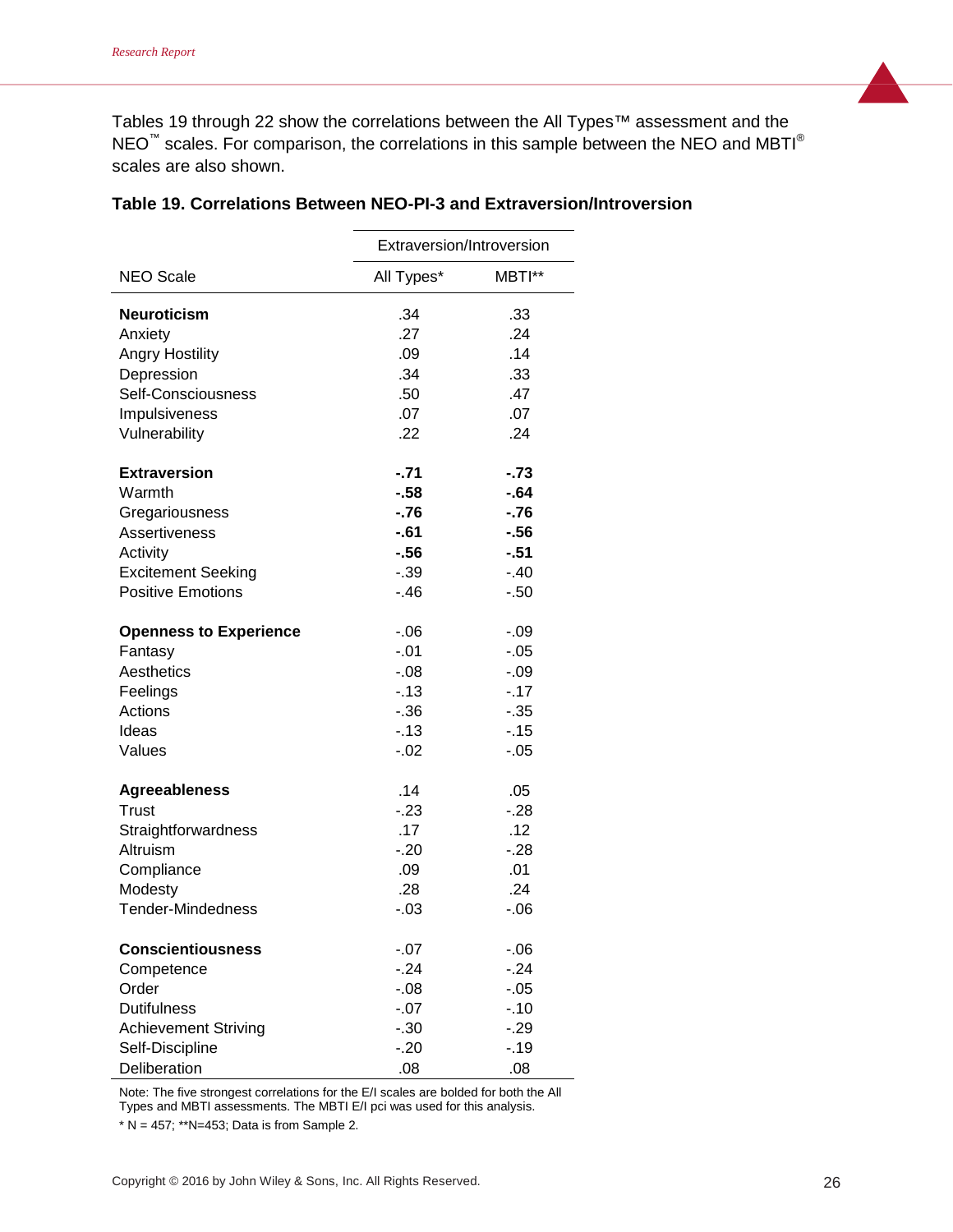Tables 19 through 22 show the correlations between the All Types™ assessment and the NEO™ scales. For comparison, the correlations in this sample between the NEO and MBTI<sup>®</sup> scales are also shown.

|                               | Extraversion/Introversion |         |
|-------------------------------|---------------------------|---------|
| <b>NEO Scale</b>              | All Types*                | MBTI**  |
| <b>Neuroticism</b>            | .34                       | .33     |
| Anxiety                       | .27                       | .24     |
| <b>Angry Hostility</b>        | .09                       | .14     |
| Depression                    | .34                       | .33     |
| Self-Consciousness            | .50                       | .47     |
| Impulsiveness                 | .07                       | .07     |
| Vulnerability                 | .22                       | .24     |
| <b>Extraversion</b>           | $-71$                     | $-73$   |
| Warmth                        | $-58$                     | $-64$   |
| Gregariousness                | $-76$                     | $-76$   |
| Assertiveness                 | $-61$                     | $-56$   |
| Activity                      | $-56$                     | $-51$   |
| <b>Excitement Seeking</b>     | $-0.39$                   | $-.40$  |
| <b>Positive Emotions</b>      | $-46$                     | $-0.50$ |
| <b>Openness to Experience</b> | $-0.06$                   | $-.09$  |
| Fantasy                       | $-.01$                    | $-.05$  |
| Aesthetics                    | $-.08$                    | $-0.9$  |
| Feelings                      | $-13$                     | $-17$   |
| Actions                       | $-36$                     | $-35$   |
| Ideas                         | $-13$                     | $-15$   |
| Values                        | $-0.02$                   | $-05$   |
| <b>Agreeableness</b>          | .14                       | .05     |
| Trust                         | $-23$                     | $-.28$  |
| Straightforwardness           | .17                       | .12     |
| Altruism                      | $-.20$                    | $-.28$  |
| Compliance                    | .09                       | .01     |
| Modesty                       | .28                       | .24     |
| <b>Tender-Mindedness</b>      | $-.03$                    | $-0.06$ |
| <b>Conscientiousness</b>      | $-07$                     | $-0.06$ |
| Competence                    | $-24$                     | $-24$   |
| Order                         | $-0.08$                   | $-0.05$ |
| <b>Dutifulness</b>            | $-.07$                    | $-.10$  |
| <b>Achievement Striving</b>   | $-.30$                    | $-29$   |
| Self-Discipline               | $-20$                     | $-.19$  |
| Deliberation                  | .08                       | .08     |

#### **Table 19. Correlations Between NEO-PI-3 and Extraversion/Introversion**

Note: The five strongest correlations for the E/I scales are bolded for both the All Types and MBTI assessments. The MBTI E/I pci was used for this analysis.

 $* N = 457$ ; \*\* N=453; Data is from Sample 2.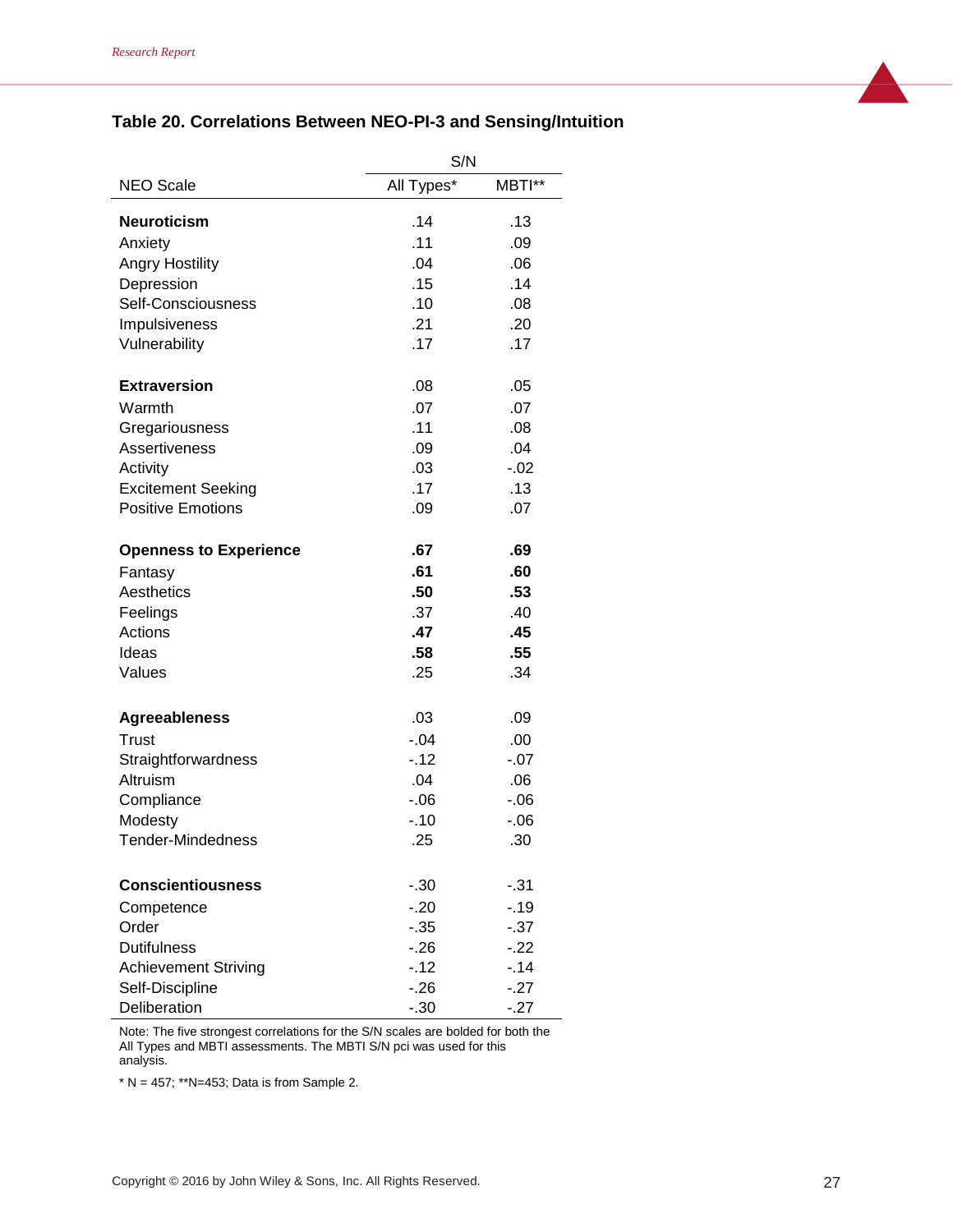## **Table 20. Correlations Between NEO-PI-3 and Sensing/Intuition**

|                               | S/N        |         |
|-------------------------------|------------|---------|
| <b>NEO Scale</b>              | All Types* | MBTI**  |
| <b>Neuroticism</b>            | .14        | .13     |
| Anxiety                       | .11        | .09     |
| <b>Angry Hostility</b>        | .04        | .06     |
| Depression                    | .15        | .14     |
| Self-Consciousness            | .10        | .08     |
| Impulsiveness                 | .21        | .20     |
| Vulnerability                 | .17        | .17     |
| <b>Extraversion</b>           | .08        | .05     |
| Warmth                        | .07        | .07     |
| Gregariousness                | .11        | .08     |
| Assertiveness                 | .09        | .04     |
| Activity                      | .03        | $-0.02$ |
| <b>Excitement Seeking</b>     | .17        | .13     |
| <b>Positive Emotions</b>      | .09        | .07     |
| <b>Openness to Experience</b> | .67        | .69     |
| Fantasy                       | .61        | .60     |
| Aesthetics                    | .50        | .53     |
| Feelings                      | .37        | .40     |
| Actions                       | .47        | .45     |
| Ideas                         | .58        | .55     |
| Values                        | .25        | .34     |
| <b>Agreeableness</b>          | .03        | .09     |
| <b>Trust</b>                  | $-.04$     | .00     |
| Straightforwardness           | $-12$      | $-.07$  |
| Altruism                      | .04        | .06     |
| Compliance                    | $-0.06$    | $-0.06$ |
| Modesty                       | $-.10$     | $-06$   |
| <b>Tender-Mindedness</b>      | .25        | .30     |
| <b>Conscientiousness</b>      | $-.30$     | - 31    |
| Competence                    | $-20$      | $-.19$  |
| Order                         | $-0.35$    | $-37$   |
| <b>Dutifulness</b>            | $-26$      | $-.22$  |
| <b>Achievement Striving</b>   | $-12$      | $-.14$  |
| Self-Discipline               | $-.26$     | $-.27$  |
| Deliberation                  | $-.30$     | $-27$   |

Note: The five strongest correlations for the S/N scales are bolded for both the All Types and MBTI assessments. The MBTI S/N pci was used for this analysis.

\*  $N = 457$ ; \*\* $N=453$ ; Data is from Sample 2.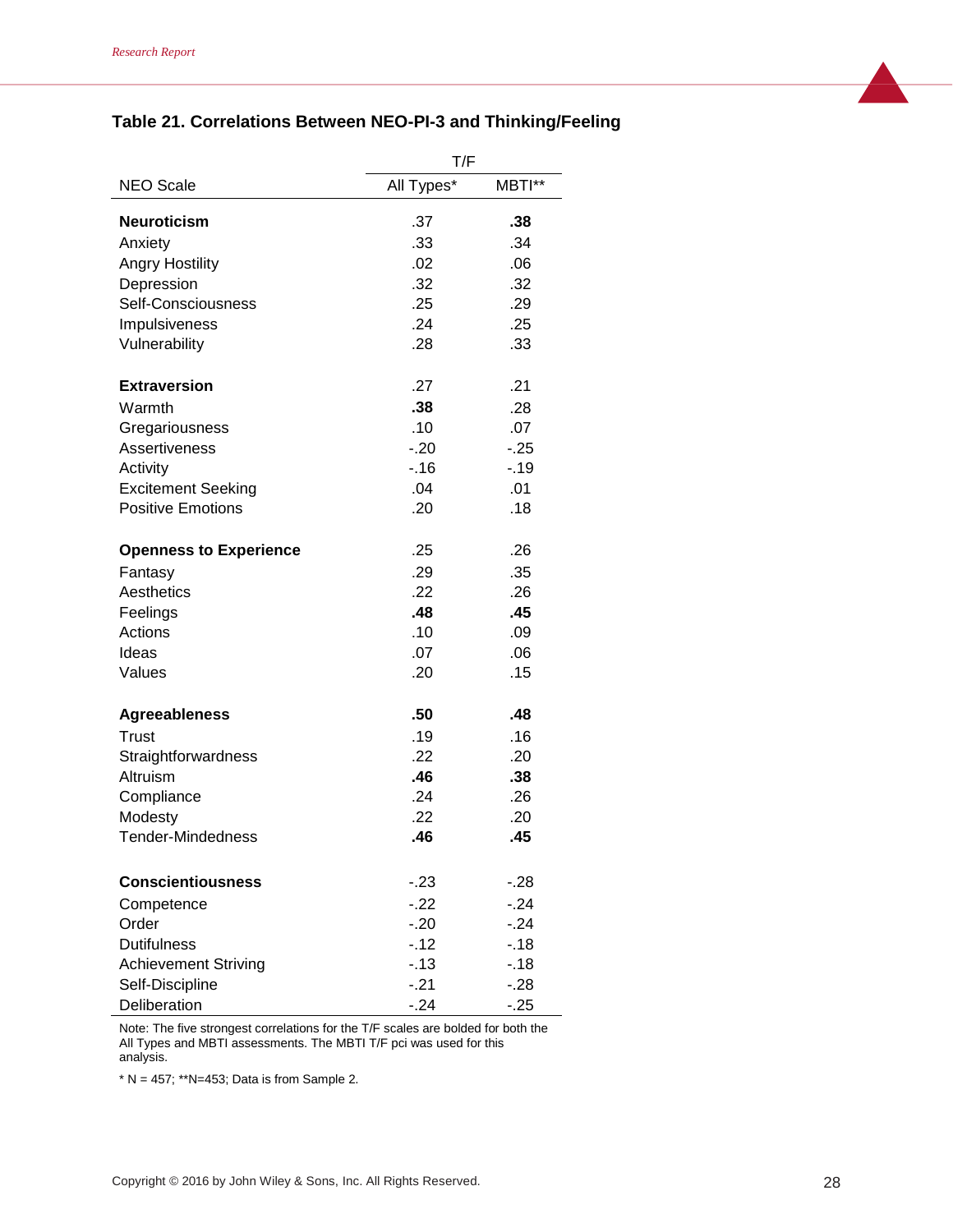## **Table 21. Correlations Between NEO-PI-3 and Thinking/Feeling**

|                               | T/F        |        |
|-------------------------------|------------|--------|
| <b>NEO Scale</b>              | All Types* | MBTI** |
| <b>Neuroticism</b>            | .37        | .38    |
| Anxiety                       | .33        | .34    |
| <b>Angry Hostility</b>        | .02        | .06    |
| Depression                    | .32        | .32    |
| Self-Consciousness            | .25        | .29    |
| Impulsiveness                 | .24        | .25    |
| Vulnerability                 | .28        | .33    |
| <b>Extraversion</b>           | .27        | .21    |
| Warmth                        | .38        | .28    |
| Gregariousness                | .10        | .07    |
| Assertiveness                 | $-.20$     | $-25$  |
| Activity                      | $-16$      | $-19$  |
| <b>Excitement Seeking</b>     | .04        | .01    |
| <b>Positive Emotions</b>      | .20        | .18    |
| <b>Openness to Experience</b> | .25        | .26    |
| Fantasy                       | .29        | .35    |
| Aesthetics                    | .22        | .26    |
| Feelings                      | .48        | .45    |
| Actions                       | .10        | .09    |
| Ideas                         | .07        | .06    |
| Values                        | .20        | .15    |
| <b>Agreeableness</b>          | .50        | .48    |
| Trust                         | .19        | .16    |
| Straightforwardness           | .22        | .20    |
| Altruism                      | .46        | .38    |
| Compliance                    | .24        | .26    |
| Modesty                       | .22        | .20    |
| Tender-Mindedness             | .46        | .45    |
| <b>Conscientiousness</b>      | $-.23$     | $-.28$ |
| Competence                    | $-.22$     | $-24$  |
| Order                         | $-.20$     | $-24$  |
| <b>Dutifulness</b>            | $-12$      | $-18$  |
| <b>Achievement Striving</b>   | $-13$      | $-18$  |
| Self-Discipline               | $-.21$     | $-.28$ |
| Deliberation                  | $-24$      | $-25$  |

Note: The five strongest correlations for the T/F scales are bolded for both the All Types and MBTI assessments. The MBTI T/F pci was used for this analysis.

\*  $N = 457$ ; \*\* $N=453$ ; Data is from Sample 2.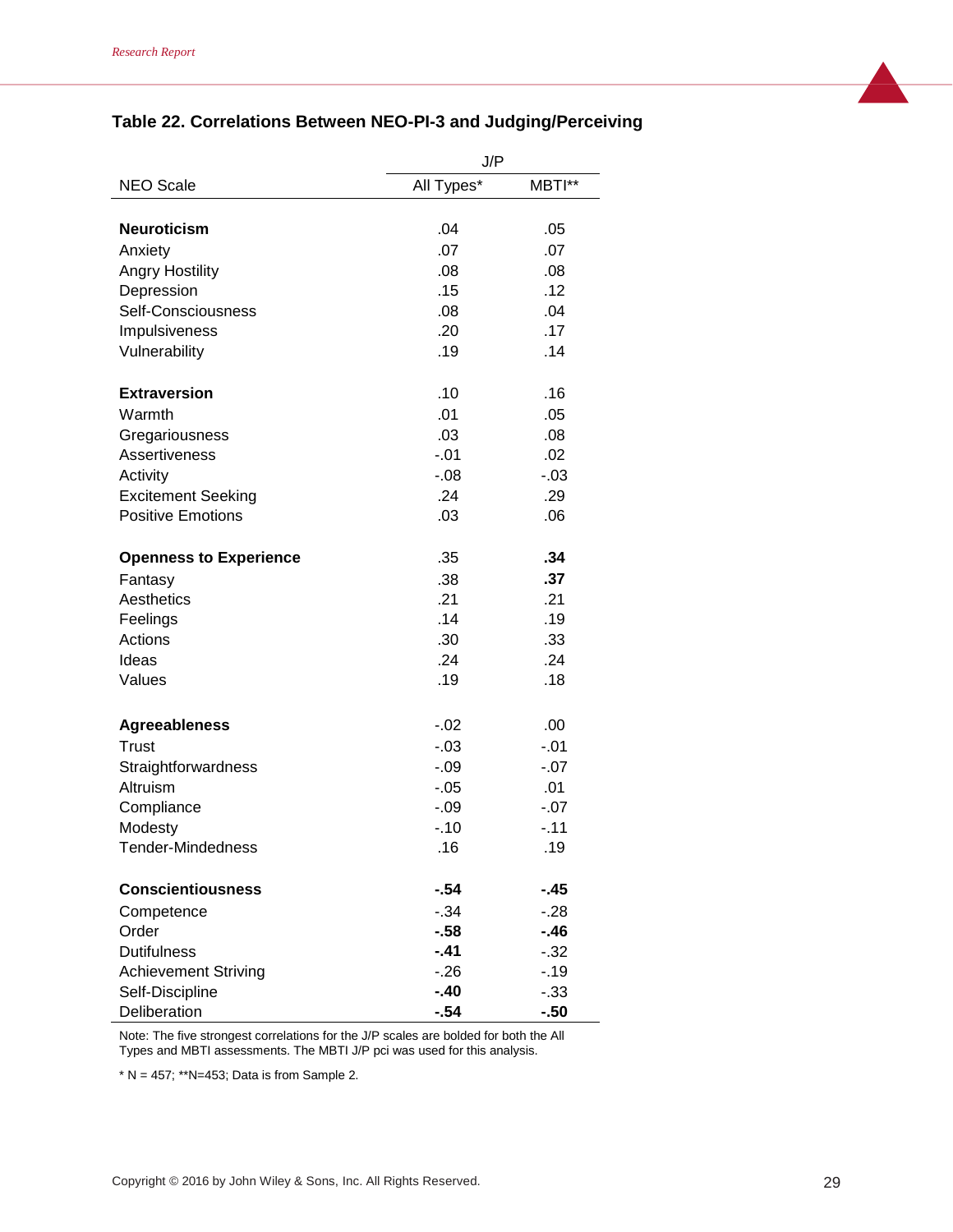| Table 22. Correlations Between NEO-PI-3 and Judging/Perceiving |  |  |  |  |  |
|----------------------------------------------------------------|--|--|--|--|--|
|----------------------------------------------------------------|--|--|--|--|--|

|                               | J/P               |               |
|-------------------------------|-------------------|---------------|
| <b>NEO Scale</b>              | All Types*        | MBTI**        |
|                               |                   |               |
| <b>Neuroticism</b>            | .04               | .05           |
| Anxiety                       | .07               | .07           |
| <b>Angry Hostility</b>        | .08               | .08           |
| Depression                    | .15               | .12           |
| Self-Consciousness            | .08               | .04           |
| Impulsiveness                 | .20               | .17           |
| Vulnerability                 | .19               | .14           |
| <b>Extraversion</b>           | .10               | .16           |
| Warmth                        | .01               | .05           |
| Gregariousness                | .03               | .08           |
| <b>Assertiveness</b>          | $-.01$            | .02           |
| Activity                      | $-0.08$           | $-03$         |
| <b>Excitement Seeking</b>     | .24               | .29           |
| <b>Positive Emotions</b>      | .03               | .06           |
|                               |                   |               |
| <b>Openness to Experience</b> | .35               | .34           |
| Fantasy                       | .38               | .37           |
| Aesthetics                    | .21               | .21           |
| Feelings                      | .14               | .19           |
| Actions                       | .30               | .33           |
| Ideas                         | .24               | .24           |
| Values                        | .19               | .18           |
|                               |                   |               |
| <b>Agreeableness</b>          | $-.02$            | .00           |
| Trust                         | $-0.3$            | $-.01$        |
| Straightforwardness           | $-0.09$           | $-.07$        |
| Altruism                      | $-0.05$<br>$-.09$ | .01<br>$-.07$ |
| Compliance                    | $-.10$            | $-11$         |
| Modesty                       |                   |               |
| Tender-Mindedness             | .16               | .19           |
| <b>Conscientiousness</b>      | $-54$             | -.45          |
| Competence                    | $-34$             | $-28$         |
| Order                         | $-58$             | $-.46$        |
| <b>Dutifulness</b>            | $-41$             | $-32$         |
| <b>Achievement Striving</b>   | $-.26$            | $-19$         |
| Self-Discipline               | $-.40$            | $-.33$        |
| Deliberation                  | $-54$             | $-50$         |

Note: The five strongest correlations for the J/P scales are bolded for both the All Types and MBTI assessments. The MBTI J/P pci was used for this analysis.

\*  $N = 457$ ; \*\* $N = 453$ ; Data is from Sample 2.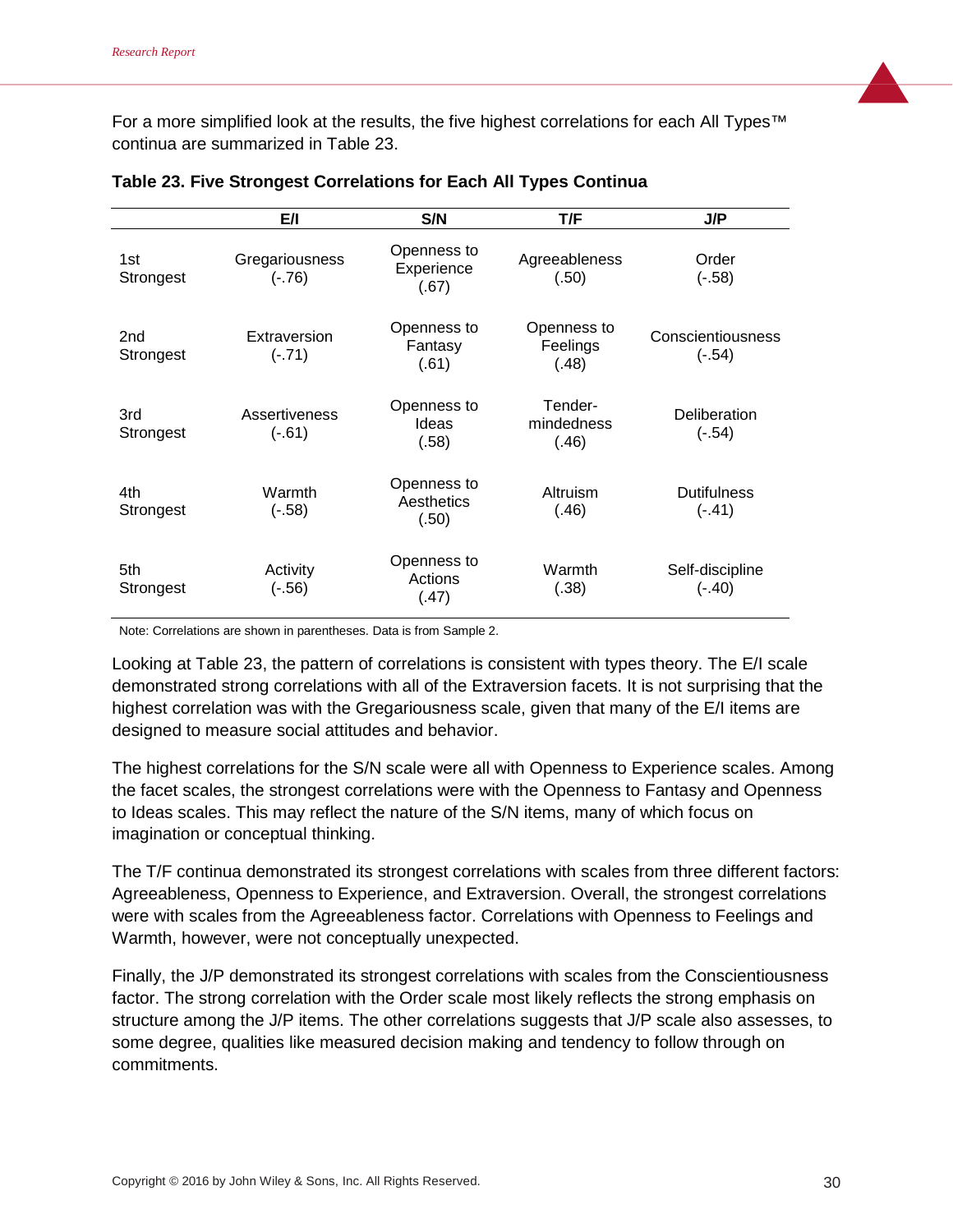For a more simplified look at the results, the five highest correlations for each All Types™ continua are summarized in Table 23.

|                              | E/I                        | S/N                                | T/F                              | J/P                            |
|------------------------------|----------------------------|------------------------------------|----------------------------------|--------------------------------|
| 1st<br>Strongest             | Gregariousness<br>$(-.76)$ | Openness to<br>Experience<br>(.67) | Agreeableness<br>(.50)           | Order<br>$(-.58)$              |
| 2 <sub>nd</sub><br>Strongest | Extraversion<br>$(-.71)$   | Openness to<br>Fantasy<br>(.61)    | Openness to<br>Feelings<br>(.48) | Conscientiousness<br>$(-.54)$  |
| 3rd<br>Strongest             | Assertiveness<br>$(-.61)$  | Openness to<br>Ideas<br>(.58)      | Tender-<br>mindedness<br>(.46)   | Deliberation<br>$(-.54)$       |
| 4th<br>Strongest             | Warmth<br>$(-.58)$         | Openness to<br>Aesthetics<br>(.50) | Altruism<br>(.46)                | <b>Dutifulness</b><br>$(-.41)$ |
| 5th<br>Strongest             | Activity<br>$(-.56)$       | Openness to<br>Actions<br>(.47)    | Warmth<br>(.38)                  | Self-discipline<br>$(-.40)$    |

| Table 23. Five Strongest Correlations for Each All Types Continua |  |  |  |  |  |
|-------------------------------------------------------------------|--|--|--|--|--|
|-------------------------------------------------------------------|--|--|--|--|--|

Note: Correlations are shown in parentheses. Data is from Sample 2.

Looking at Table 23, the pattern of correlations is consistent with types theory. The E/I scale demonstrated strong correlations with all of the Extraversion facets. It is not surprising that the highest correlation was with the Gregariousness scale, given that many of the E/I items are designed to measure social attitudes and behavior.

The highest correlations for the S/N scale were all with Openness to Experience scales. Among the facet scales, the strongest correlations were with the Openness to Fantasy and Openness to Ideas scales. This may reflect the nature of the S/N items, many of which focus on imagination or conceptual thinking.

The T/F continua demonstrated its strongest correlations with scales from three different factors: Agreeableness, Openness to Experience, and Extraversion. Overall, the strongest correlations were with scales from the Agreeableness factor. Correlations with Openness to Feelings and Warmth, however, were not conceptually unexpected.

Finally, the J/P demonstrated its strongest correlations with scales from the Conscientiousness factor. The strong correlation with the Order scale most likely reflects the strong emphasis on structure among the J/P items. The other correlations suggests that J/P scale also assesses, to some degree, qualities like measured decision making and tendency to follow through on commitments.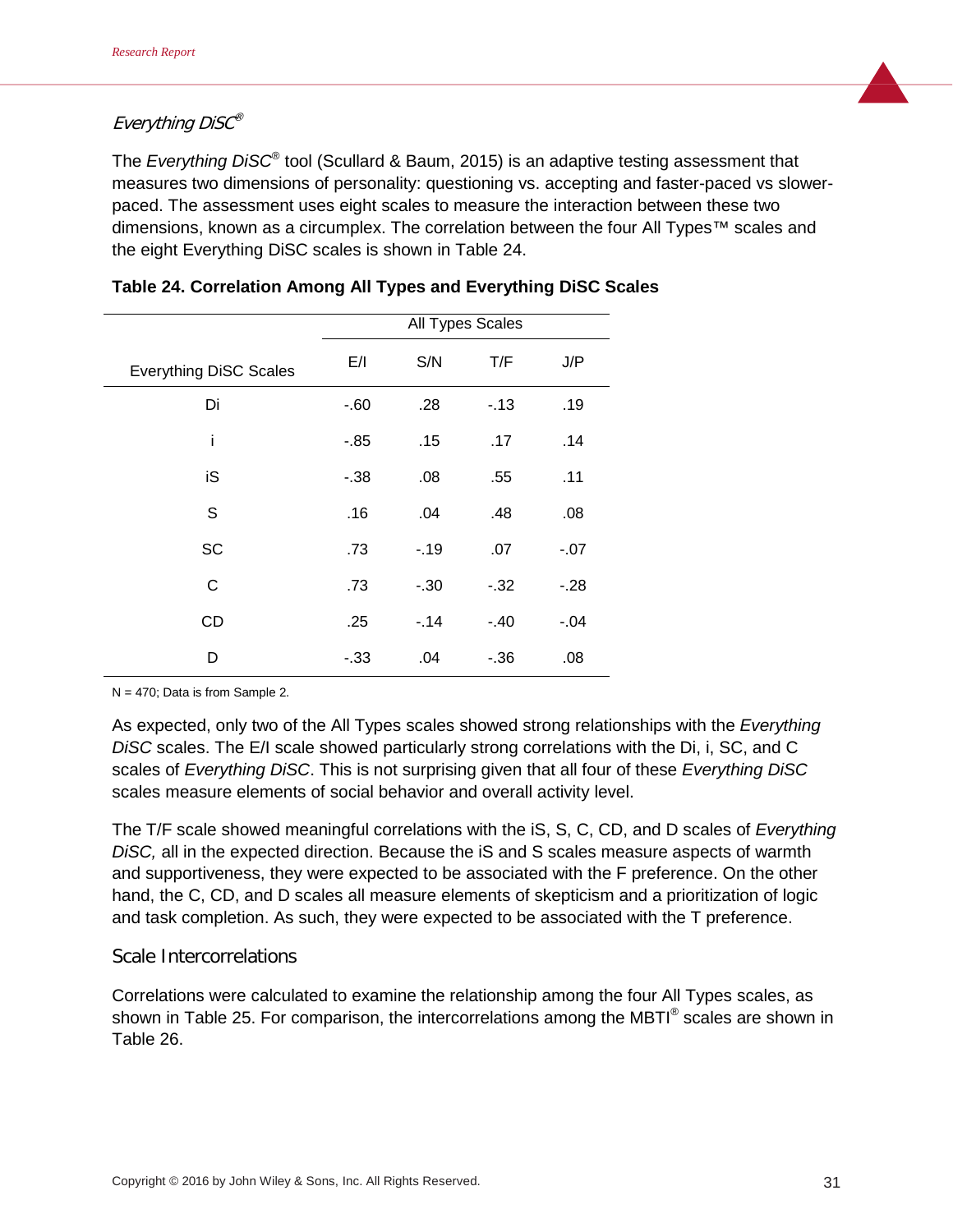## Everything DiSC®

The *Everything DiSC*® tool (Scullard & Baum, 2015) is an adaptive testing assessment that measures two dimensions of personality: questioning vs. accepting and faster-paced vs slowerpaced. The assessment uses eight scales to measure the interaction between these two dimensions, known as a circumplex. The correlation between the four All Types™ scales and the eight Everything DiSC scales is shown in Table 24.

|                               | All Types Scales |        |         |        |
|-------------------------------|------------------|--------|---------|--------|
| <b>Everything DiSC Scales</b> | E/I              | S/N    | T/F     | J/P    |
| Di                            | $-0.60$          | .28    | $-13$   | .19    |
| i                             | -.85             | .15    | .17     | .14    |
| iS                            | $-0.38$          | .08    | .55     | .11    |
| $\mathbb S$                   | .16              | .04    | .48     | .08    |
| <b>SC</b>                     | .73              | $-19$  | .07     | $-.07$ |
| C                             | .73              | $-.30$ | $-32$   | $-28$  |
| CD                            | .25              | $-14$  | $-.40$  | $-.04$ |
| D                             | $-.33$           | .04    | $-0.36$ | .08    |

| Table 24. Correlation Among All Types and Everything DiSC Scales |  |  |  |  |  |
|------------------------------------------------------------------|--|--|--|--|--|
|------------------------------------------------------------------|--|--|--|--|--|

 $N = 470$ ; Data is from Sample 2.

As expected, only two of the All Types scales showed strong relationships with the *Everything DiSC* scales. The E/I scale showed particularly strong correlations with the Di, i, SC, and C scales of *Everything DiSC*. This is not surprising given that all four of these *Everything DiSC* scales measure elements of social behavior and overall activity level.

The T/F scale showed meaningful correlations with the iS, S, C, CD, and D scales of *Everything DiSC,* all in the expected direction. Because the iS and S scales measure aspects of warmth and supportiveness, they were expected to be associated with the F preference. On the other hand, the C, CD, and D scales all measure elements of skepticism and a prioritization of logic and task completion. As such, they were expected to be associated with the T preference.

## Scale Intercorrelations

Correlations were calculated to examine the relationship among the four All Types scales, as shown in Table 25. For comparison, the intercorrelations among the MBTI<sup>®</sup> scales are shown in Table 26.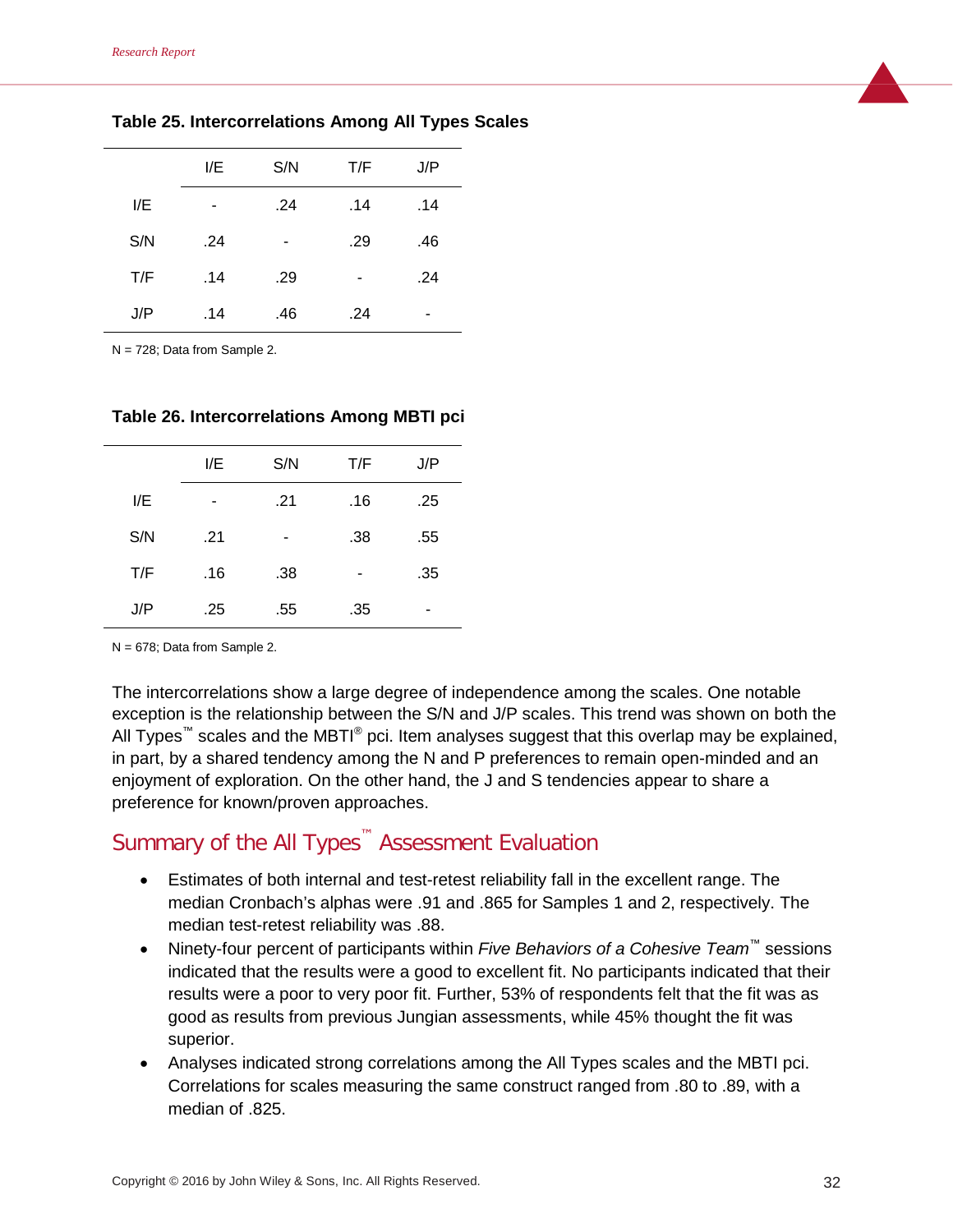|     | I/E | S/N | T/F | J/P |
|-----|-----|-----|-----|-----|
| I/E |     | .24 | .14 | .14 |
| S/N | .24 |     | .29 | .46 |
| T/F | .14 | .29 |     | .24 |
| J/P | .14 | .46 | .24 | -   |

**Table 25. Intercorrelations Among All Types Scales**

N = 728; Data from Sample 2.

**Table 26. Intercorrelations Among MBTI pci**

|     | I/E | S/N | T/F | J/P |  |
|-----|-----|-----|-----|-----|--|
| I/E |     | .21 | .16 | .25 |  |
| S/N | .21 | ۰   | .38 | .55 |  |
| T/F | .16 | .38 |     | .35 |  |
| J/P | .25 | .55 | .35 |     |  |

N = 678; Data from Sample 2.

The intercorrelations show a large degree of independence among the scales. One notable exception is the relationship between the S/N and J/P scales. This trend was shown on both the All Types<sup>™</sup> scales and the MBTI<sup>®</sup> pci. Item analyses suggest that this overlap may be explained, in part, by a shared tendency among the N and P preferences to remain open-minded and an enjoyment of exploration. On the other hand, the J and S tendencies appear to share a preference for known/proven approaches.

# Summary of the All Types™ Assessment Evaluation

- Estimates of both internal and test-retest reliability fall in the excellent range. The median Cronbach's alphas were .91 and .865 for Samples 1 and 2, respectively. The median test-retest reliability was .88.
- Ninety-four percent of participants within *Five Behaviors of a Cohesive Team™* sessions indicated that the results were a good to excellent fit. No participants indicated that their results were a poor to very poor fit. Further, 53% of respondents felt that the fit was as good as results from previous Jungian assessments, while 45% thought the fit was superior.
- Analyses indicated strong correlations among the All Types scales and the MBTI pci. Correlations for scales measuring the same construct ranged from .80 to .89, with a median of .825.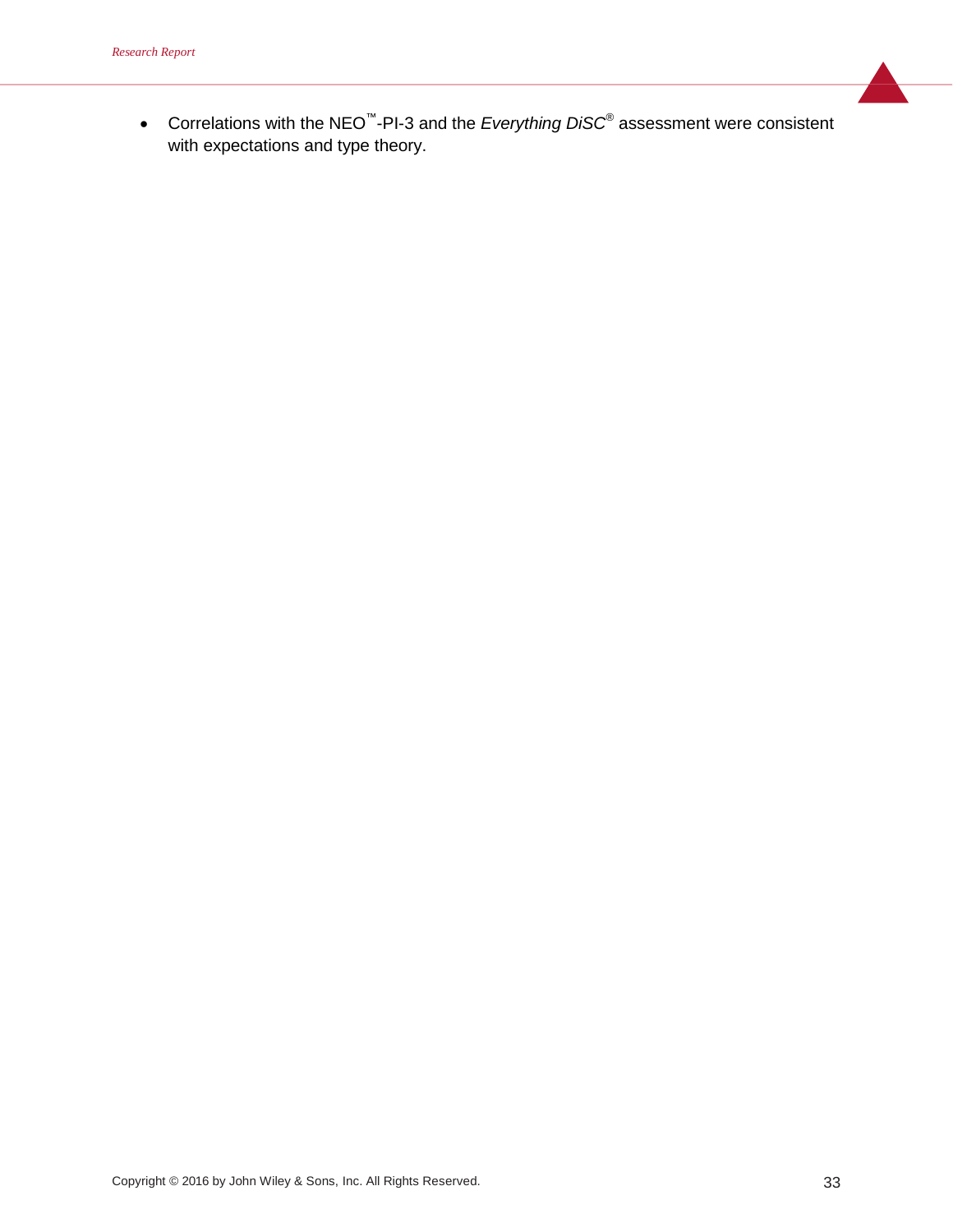• Correlations with the NEO™-PI-3 and the *Everything DiSC*® assessment were consistent with expectations and type theory.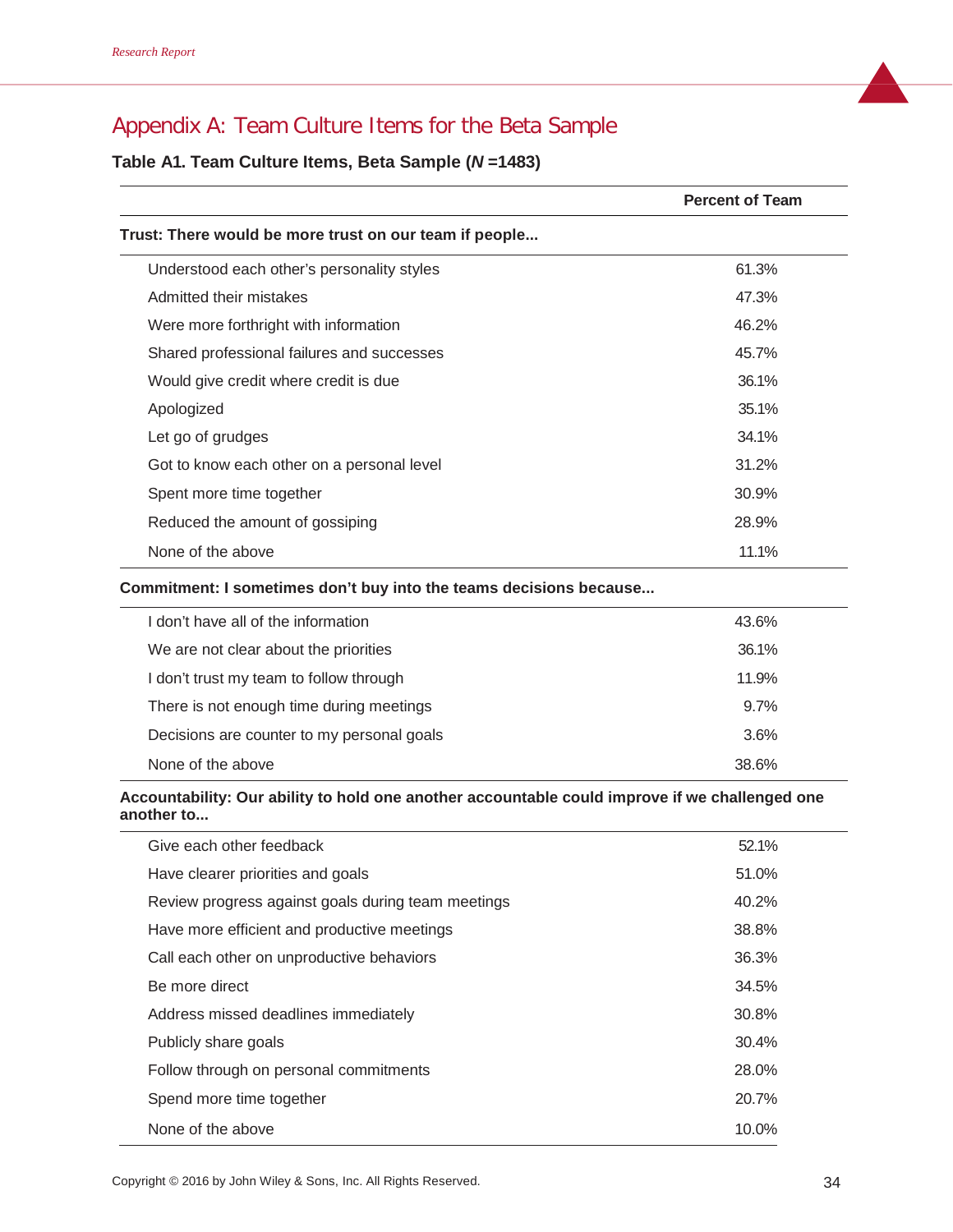# Appendix A: Team Culture Items for the Beta Sample

## **Table A1. Team Culture Items, Beta Sample (***N* **=1483)**

|                                                                    | <b>Percent of Team</b> |
|--------------------------------------------------------------------|------------------------|
| Trust: There would be more trust on our team if people             |                        |
| Understood each other's personality styles                         | 61.3%                  |
| Admitted their mistakes                                            | 47.3%                  |
| Were more forthright with information                              | 46.2%                  |
| Shared professional failures and successes                         | 45.7%                  |
| Would give credit where credit is due                              | 36.1%                  |
| Apologized                                                         | 35.1%                  |
| Let go of grudges                                                  | 34.1%                  |
| Got to know each other on a personal level                         | 31.2%                  |
| Spent more time together                                           | 30.9%                  |
| Reduced the amount of gossiping                                    | 28.9%                  |
| None of the above                                                  | 11.1%                  |
| Commitment: I sometimes don't buy into the teams decisions because |                        |
| don't have all of the information                                  | 43.6%                  |

| 36.1%<br>We are not clear about the priorities<br>I don't trust my team to follow through<br>11.9%<br>9.7%<br>There is not enough time during meetings<br>3.6%<br>Decisions are counter to my personal goals<br>None of the above<br>38.6% | I don't have all of the information | 43.6% |  |
|--------------------------------------------------------------------------------------------------------------------------------------------------------------------------------------------------------------------------------------------|-------------------------------------|-------|--|
|                                                                                                                                                                                                                                            |                                     |       |  |
|                                                                                                                                                                                                                                            |                                     |       |  |
|                                                                                                                                                                                                                                            |                                     |       |  |
|                                                                                                                                                                                                                                            |                                     |       |  |
|                                                                                                                                                                                                                                            |                                     |       |  |

#### **Accountability: Our ability to hold one another accountable could improve if we challenged one another to...**

| Give each other feedback                           | 52.1% |
|----------------------------------------------------|-------|
| Have clearer priorities and goals                  | 51.0% |
| Review progress against goals during team meetings | 40.2% |
| Have more efficient and productive meetings        | 38.8% |
| Call each other on unproductive behaviors          | 36.3% |
| Be more direct                                     | 34.5% |
| Address missed deadlines immediately               | 30.8% |
| Publicly share goals                               | 30.4% |
| Follow through on personal commitments             | 28.0% |
| Spend more time together                           | 20.7% |
| None of the above                                  | 10.0% |
|                                                    |       |

Copyright © 2016 by John Wiley & Sons, Inc. All Rights Reserved. 34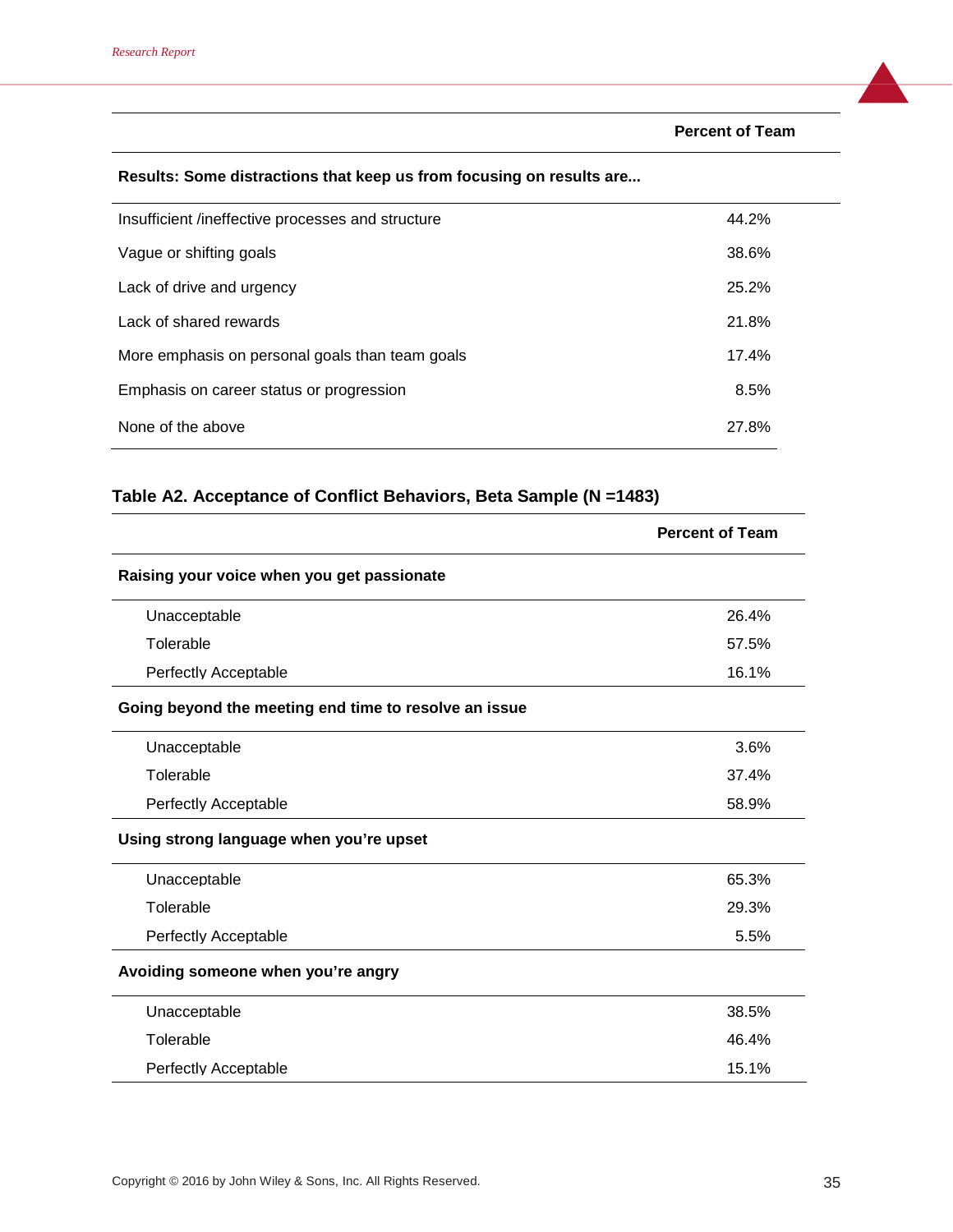**Percent of Team**

## **Results: Some distractions that keep us from focusing on results are...**

| Insufficient /ineffective processes and structure | 44.2% |
|---------------------------------------------------|-------|
| Vague or shifting goals                           | 38.6% |
| Lack of drive and urgency                         | 25.2% |
| Lack of shared rewards                            | 21.8% |
| More emphasis on personal goals than team goals   | 17.4% |
| Emphasis on career status or progression          | 8.5%  |
| None of the above                                 | 27.8% |

## **Table A2. Acceptance of Conflict Behaviors, Beta Sample (N =1483)**

|                                                       | <b>Percent of Team</b> |
|-------------------------------------------------------|------------------------|
| Raising your voice when you get passionate            |                        |
| Unacceptable                                          | 26.4%                  |
| Tolerable                                             | 57.5%                  |
| <b>Perfectly Acceptable</b>                           | 16.1%                  |
| Going beyond the meeting end time to resolve an issue |                        |
| Unacceptable                                          | 3.6%                   |
| Tolerable                                             | 37.4%                  |
| Perfectly Acceptable                                  | 58.9%                  |
| Using strong language when you're upset               |                        |
| Unacceptable                                          | 65.3%                  |
| Tolerable                                             | 29.3%                  |
| Perfectly Acceptable                                  | 5.5%                   |
| Avoiding someone when you're angry                    |                        |
| Unacceptable                                          | 38.5%                  |
| Tolerable                                             | 46.4%                  |
| <b>Perfectly Acceptable</b>                           | 15.1%                  |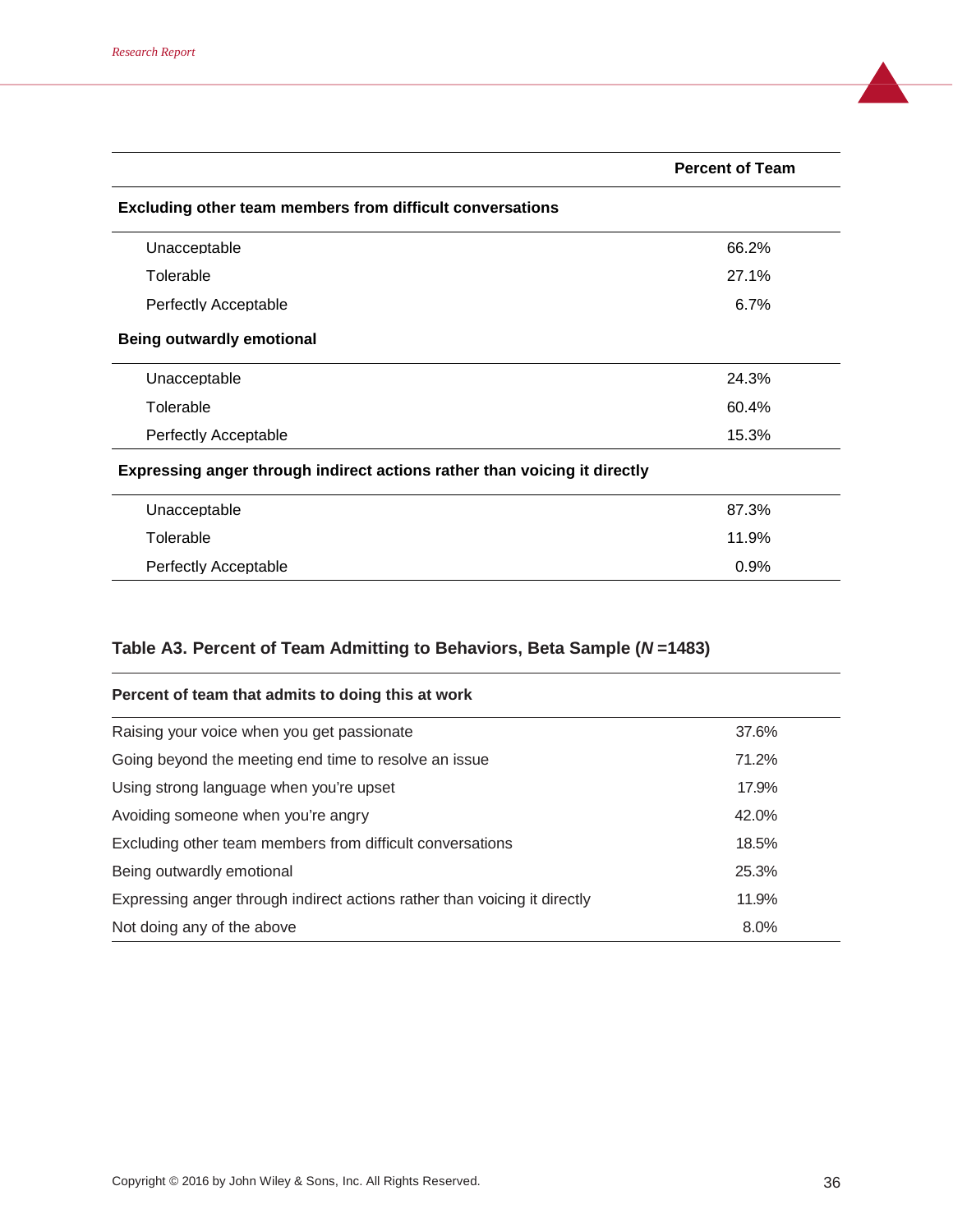|                                                                           | <b>Percent of Team</b> |  |  |
|---------------------------------------------------------------------------|------------------------|--|--|
| Excluding other team members from difficult conversations                 |                        |  |  |
| Unacceptable                                                              | 66.2%                  |  |  |
| Tolerable                                                                 | 27.1%                  |  |  |
| Perfectly Acceptable                                                      | 6.7%                   |  |  |
| <b>Being outwardly emotional</b>                                          |                        |  |  |
| Unacceptable                                                              | 24.3%                  |  |  |
| Tolerable                                                                 | 60.4%                  |  |  |
| <b>Perfectly Acceptable</b>                                               | 15.3%                  |  |  |
| Expressing anger through indirect actions rather than voicing it directly |                        |  |  |
| Unacceptable                                                              | 87.3%                  |  |  |
| Tolerable                                                                 | 11.9%                  |  |  |
| Perfectly Acceptable                                                      | 0.9%                   |  |  |

# **Table A3. Percent of Team Admitting to Behaviors, Beta Sample (***N* **=1483)**

| Percent of team that admits to doing this at work                         |       |
|---------------------------------------------------------------------------|-------|
| Raising your voice when you get passionate                                | 37.6% |
| Going beyond the meeting end time to resolve an issue                     | 71.2% |
| Using strong language when you're upset                                   | 17.9% |
| Avoiding someone when you're angry                                        | 42.0% |
| Excluding other team members from difficult conversations                 | 18.5% |
| Being outwardly emotional                                                 | 25.3% |
| Expressing anger through indirect actions rather than voicing it directly | 11.9% |
| Not doing any of the above                                                | 8.0%  |